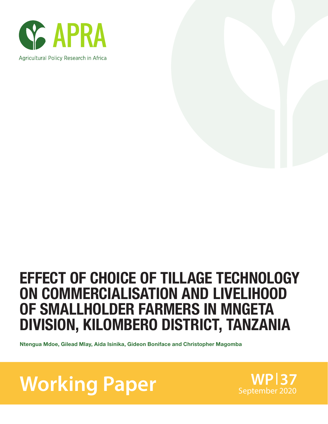



# EFFECT OF CHOICE OF TILLAGE TECHNOLOGY ON COMMERCIALISATION AND LIVELIHOOD OF SMALLHOLDER FARMERS IN MNGETA DIVISION, KILOMBERO DISTRICT, TANZANIA

Ntengua Mdoe, Gilead Mlay, Aida Isinika, Gideon Boniface and Christopher Magomba

**Working Paper** September 2020

**WP 37**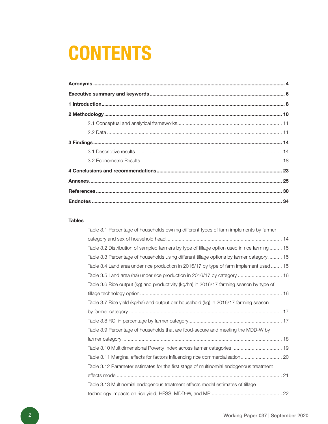# **CONTENTS**

#### **Tables**

| Table 3.1 Percentage of households owning different types of farm implements by farmer       |  |
|----------------------------------------------------------------------------------------------|--|
|                                                                                              |  |
| Table 3.2 Distribution of sampled farmers by type of tillage option used in rice farming  15 |  |
| Table 3.3 Percentage of households using different tillage options by farmer category  15    |  |
| Table 3.4 Land area under rice production in 2016/17 by type of farm implement used  15      |  |
| Table 3.5 Land area (ha) under rice production in 2016/17 by category  16                    |  |
| Table 3.6 Rice output (kg) and productivity (kg/ha) in 2016/17 farming season by type of     |  |
|                                                                                              |  |
| Table 3.7 Rice yield (kg/ha) and output per household (kg) in 2016/17 farming season         |  |
|                                                                                              |  |
|                                                                                              |  |
| Table 3.9 Percentage of households that are food-secure and meeting the MDD-W by             |  |
|                                                                                              |  |
| Table 3.10 Multidimensional Poverty Index across farmer categories  19                       |  |
| Table 3.11 Marginal effects for factors influencing rice commercialisation 20                |  |
| Table 3.12 Parameter estimates for the first stage of multinomial endogenous treatment       |  |
|                                                                                              |  |
| Table 3.13 Multinomial endogenous treatment effects model estimates of tillage               |  |
|                                                                                              |  |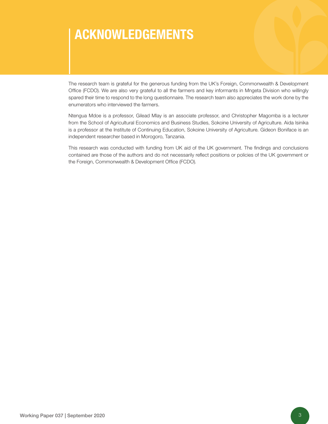# ACKNOWLEDGEMENTS

The research team is grateful for the generous funding from the UK's Foreign, Commonwealth & Development Office (FCDO). We are also very grateful to all the farmers and key informants in Mngeta Division who willingly spared their time to respond to the long questionnaire. The research team also appreciates the work done by the enumerators who interviewed the farmers.

Ntengua Mdoe is a professor, Gilead Mlay is an associate professor, and Christopher Magomba is a lecturer from the School of Agricultural Economics and Business Studies, Sokoine University of Agriculture. Aida Isinika is a professor at the Institute of Continuing Education, Sokoine University of Agriculture. Gideon Boniface is an independent researcher based in Morogoro, Tanzania.

This research was conducted with funding from UK aid of the UK government. The findings and conclusions contained are those of the authors and do not necessarily reflect positions or policies of the UK government or the Foreign, Commonwealth & Development Office (FCDO).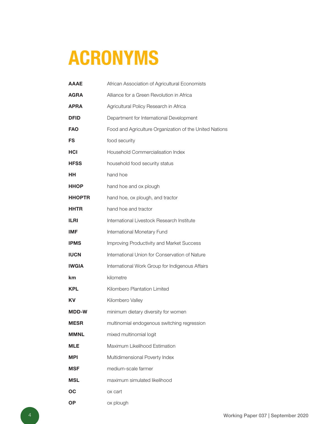# ACRONYMS

| <b>AAAE</b>   | African Association of Agricultural Economists          |
|---------------|---------------------------------------------------------|
| <b>AGRA</b>   | Alliance for a Green Revolution in Africa               |
| <b>APRA</b>   | Agricultural Policy Research in Africa                  |
| <b>DFID</b>   | Department for International Development                |
| <b>FAO</b>    | Food and Agriculture Organization of the United Nations |
| FS            | food security                                           |
| HCI           | Household Commercialisation Index                       |
| <b>HFSS</b>   | household food security status                          |
| ΗН            | hand hoe                                                |
| <b>HHOP</b>   | hand hoe and ox plough                                  |
| <b>HHOPTR</b> | hand hoe, ox plough, and tractor                        |
| <b>HHTR</b>   | hand hoe and tractor                                    |
| ILRI          | International Livestock Research Institute              |
| IMF           | International Monetary Fund                             |
| <b>IPMS</b>   | Improving Productivity and Market Success               |
| <b>IUCN</b>   | International Union for Conservation of Nature          |
| <b>IWGIA</b>  | International Work Group for Indigenous Affairs         |
| km            | kilometre                                               |
| <b>KPL</b>    | Kilombero Plantation Limited                            |
| ΚV            | Kilombero Valley                                        |
| MDD-W         | minimum dietary diversity for women                     |
| MESR          | multinomial endogenous switching regression             |
| <b>MMNL</b>   | mixed multinomial logit                                 |
| <b>MLE</b>    | Maximum Likelihood Estimation                           |
| <b>MPI</b>    | Multidimensional Poverty Index                          |
| <b>MSF</b>    | medium-scale farmer                                     |
| <b>MSL</b>    | maximum simulated likelihood                            |
| OC            | ox cart                                                 |
| <b>OP</b>     | ox plough                                               |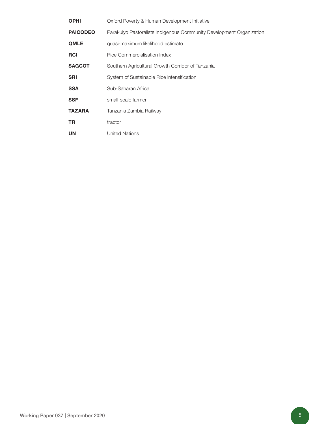| <b>OPHI</b>     | Oxford Poverty & Human Development Initiative                        |
|-----------------|----------------------------------------------------------------------|
| <b>PAICODEO</b> | Parakuiyo Pastoralists Indigenous Community Development Organization |
| <b>QMLE</b>     | quasi-maximum likelihood estimate                                    |
| <b>RCI</b>      | Rice Commercialisation Index                                         |
| <b>SAGCOT</b>   | Southern Agricultural Growth Corridor of Tanzania                    |
| <b>SRI</b>      | System of Sustainable Rice intensification                           |
| <b>SSA</b>      | Sub-Saharan Africa                                                   |
| <b>SSF</b>      | small-scale farmer                                                   |
| <b>TAZARA</b>   | Tanzania Zambia Railway                                              |
| TR.             | tractor                                                              |
| <b>UN</b>       | <b>United Nations</b>                                                |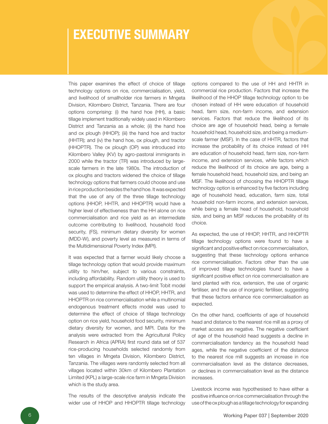### EXECUTIVE SUMMARY

This paper examines the effect of choice of tillage technology options on rice, commercialisation, yield, and livelihood of smallholder rice farmers in Mngeta Division, Kilombero District, Tanzania. There are four options comprising: (i) the hand hoe (HH), a basic tillage implement traditionally widely used in Kilombero District and Tanzania as a whole; (ii) the hand hoe and ox plough (HHOP); (iii) the hand hoe and tractor (HHTR); and (iv) the hand hoe, ox plough, and tractor (HHOPTR). The ox plough (OP) was introduced into Kilombero Valley (KV) by agro-pastoral immigrants in 2000 while the tractor (TR) was introduced by largescale farmers in the late 1980s. The introduction of ox ploughs and tractors widened the choice of tillage technology options that farmers could choose and use in rice production besides the hand hoe. It was expected that the use of any of the three tillage technology options (HHOP, HHTR, and HHOPTR) would have a higher level of effectiveness than the HH alone on rice commercialisation and rice yield as an intermediate outcome contributing to livelihood, household food security, (FS), minimum dietary diversity for women (MDD-W), and poverty level as measured in terms of the Multidimensional Poverty Index (MPI).

It was expected that a farmer would likely choose a tillage technology option that would provide maximum utility to him/her, subject to various constraints, including affordability. Random utility theory is used to support the empirical analysis. A two-limit Tobit model was used to determine the effect of HHOP, HHTR, and HHOPTR on rice commercialisation while a multinomial endogenous treatment effects model was used to determine the effect of choice of tillage technology option on rice yield, household food security, minimum dietary diversity for women, and MPI. Data for the analysis were extracted from the Agricultural Policy Research in Africa (APRA) first round data set of 537 rice-producing households selected randomly from ten villages in Mngeta Division, Kilombero District, Tanzania. The villages were randomly selected from all villages located within 30km of Kilombero Plantation Limited (KPL) a large-scale rice farm in Mngeta Division which is the study area.

The results of the descriptive analysis indicate the wider use of HHOP and HHOPTR tillage technology options compared to the use of HH and HHTR in commercial rice production. Factors that increase the likelihood of the HHOP tillage technology option to be chosen instead of HH were education of household head, farm size, non-farm income, and extension services. Factors that reduce the likelihood of its choice are age of household head, being a female household head, household size, and being a mediumscale farmer (MSF). In the case of HHTR, factors that increase the probability of its choice instead of HH are education of household head, farm size, non-farm income, and extension services, while factors which reduce the likelihood of its choice are age, being a female household head, household size, and being an MSF. The likelihood of choosing the HHOPTR tillage technology option is enhanced by five factors including age of household head, education, farm size, total household non-farm income, and extension services, while being a female head of household, household size, and being an MSF reduces the probability of its choice.

As expected, the use of HHOP, HHTR, and HHOPTR tillage technology options were found to have a significant and positive effect on rice commercialisation, suggesting that these technology options enhance rice commercialisation. Factors other than the use of improved tillage technologies found to have a significant positive effect on rice commercialisation are land planted with rice, extension, the use of organic fertiliser, and the use of inorganic fertiliser, suggesting that these factors enhance rice commercialisation as expected.

On the other hand, coefficients of age of household head and distance to the nearest rice mill as a proxy of market access are negative. The negative coefficient of age of the household head suggests a decline in commercialisation tendency as the household head ages, while the negative coefficient of the distance to the nearest rice mill suggests an increase in rice commercialisation level as the distance decreases, or declines in commercialisation level as the distance increases.

Livestock income was hypothesised to have either a positive influence on rice commercialisation through the use of the ox plough as a tillage technology for expanding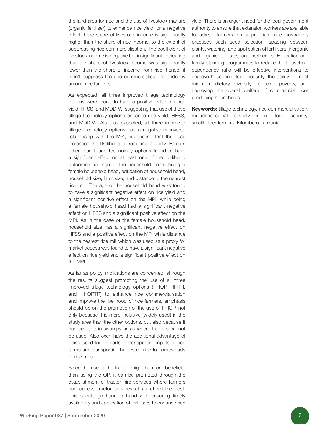the land area for rice and the use of livestock manure (organic fertiliser) to enhance rice yield, or a negative effect if the share of livestock income is significantly higher than the share of rice income, to the extent of suppressing rice commercialisation. The coefficient of livestock income is negative but insignificant, indicating that the share of livestock income was significantly lower than the share of income from rice; hence, it didn't suppress the rice commercialisation tendency among rice farmers.

As expected, all three improved tillage technology options were found to have a positive effect on rice yield, HFSS, and MDD-W, suggesting that use of these tillage technology options enhance rice yield, HFSS, and MDD-W. Also, as expected, all three improved tillage technology options had a negative or inverse relationship with the MPI, suggesting that their use increases the likelihood of reducing poverty. Factors other than tillage technology options found to have a significant effect on at least one of the livelihood outcomes are age of the household head, being a female household head, education of household head, household size, farm size, and distance to the nearest rice mill. The age of the household head was found to have a significant negative effect on rice yield and a significant positive effect on the MPI, while being a female household head had a significant negative effect on HFSS and a significant positive effect on the MPI. As in the case of the female household head, household size has a significant negative effect on HFSS and a positive effect on the MPI while distance to the nearest rice mill which was used as a proxy for market access was found to have a significant negative effect on rice yield and a significant positive effect on the MPI.

As far as policy implications are concerned, although the results suggest promoting the use of all three improved tillage technology options (HHOP, HHTR, and HHOPTR) to enhance rice commercialisation and improve the livelihood of rice farmers, emphasis should be on the promotion of the use of HHOP, not only because it is more inclusive (widely used) in the study area than the other options, but also because it can be used in swampy areas where tractors cannot be used. Also oxen have the additional advantage of being used for ox carts in transporting inputs to rice farms and transporting harvested rice to homesteads or rice mills.

Since the use of the tractor might be more beneficial than using the OP, it can be promoted through the establishment of tractor hire services where farmers can access tractor services at an affordable cost. This should go hand in hand with ensuring timely availability and application of fertilisers to enhance rice yield. There is an urgent need for the local government authority to ensure that extension workers are available to advise farmers on appropriate rice husbandry practices such seed selection, spacing between plants, watering, and application of fertilisers (inorganic and organic fertilisers) and herbicides. Education and family-planning programmes to reduce the household dependency ratio will be effective interventions to improve household food security, the ability to meet minimum dietary diversity, reducing poverty, and improving the overall welfare of commercial riceproducing households.

Keywords: tillage technology, rice commercialisation, multidimensional poverty index, food security, smallholder farmers, Kilombero-Tanzania.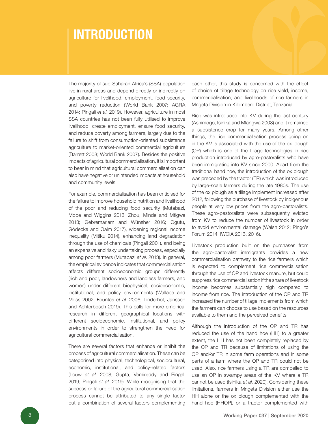## INTRODUCTION

The majority of sub-Saharan Africa's (SSA) population live in rural areas and depend directly or indirectly on agriculture for livelihood, employment, food security, and poverty reduction (World Bank 2007; AGRA 2014; Pingali *et al*. 2019). However, agriculture in most SSA countries has not been fully utilised to improve livelihood, create employment, ensure food security, and reduce poverty among farmers, largely due to the failure to shift from consumption-oriented subsistence agriculture to market-oriented commercial agriculture (Barrett 2008; World Bank 2007). Besides the positive impacts of agricultural commercialisation, it is important to bear in mind that agricultural commercialisation can also have negative or unintended impacts at household and community levels.

For example, commercialisation has been criticised for the failure to improve household nutrition and livelihood of the poor and reducing food security (Mutabazi, Mdoe and Wiggins 2013; Zhou, Minde and Mtigwe 2013; Gebremariam and Wünsher 2016; Ogutu, Gödecke and Qaim 2017), widening regional income inequality (Mitiku 2014), enhancing land degradation through the use of chemicals (Pingali 2001), and being an expensive and risky undertaking process, especially among poor farmers (Mutabazi *et al*. 2013). In general, the empirical evidence indicates that commercialisation affects different socioeconomic groups differently (rich and poor, landowners and landless farmers, and women) under different biophysical, socioeconomic, institutional, and policy environments (Wallace and Moss 2002; Fountas *et al*. 2006; Linderhof, Janssen and Achterbosch 2019). This calls for more empirical research in different geographical locations with different socioeconomic, institutional, and policy environments in order to strengthen the need for agricultural commercialisation.

There are several factors that enhance or inhibit the process of agricultural commercialisation. These can be categorised into physical, technological, sociocultural, economic, institutional, and policy-related factors (Louw *et al*. 2008; Gupta, Vemireddy and Pingali 2019; Pingali *et al*. 2019). While recognising that the success or failure of the agricultural commercialisation process cannot be attributed to any single factor but a combination of several factors complementing

each other, this study is concerned with the effect of choice of tillage technology on rice yield, income, commercialisation, and livelihoods of rice farmers in Mngeta Division in Kilombero District, Tanzania.

Rice was introduced into KV during the last century (Ashimogo, Isinika and Mlangwa 2003) and it remained a subsistence crop for many years. Among other things, the rice commercialisation process going on in the KV is associated with the use of the ox plough (OP) which is one of the tillage technologies in rice production introduced by agro-pastoralists who have been immigrating into KV since 2000. Apart from the traditional hand hoe, the introduction of the ox plough was preceded by the tractor (TR) which was introduced by large-scale farmers during the late 1980s. The use of the ox plough as a tillage implement increased after 2012, following the purchase of livestock by indigenous people at very low prices from the agro-pastoralists. These agro-pastoralists were subsequently evicted from KV to reduce the number of livestock in order to avoid environmental damage (Walsh 2012; Pingo's Forum 2014; IWGIA 2013, 2016).

Livestock production built on the purchases from the agro-pastoralist immigrants provides a new commercialisation pathway to the rice farmers which is expected to complement rice commercialisation through the use of OP and livestock manure, but could suppress rice commercialisation if the share of livestock income becomes substantially high compared to income from rice. The introduction of the OP and TR increased the number of tillage implements from which the farmers can choose to use based on the resources available to them and the perceived benefits.

Although the introduction of the OP and TR has reduced the use of the hand hoe (HH) to a greater extent, the HH has not been completely replaced by the OP and TR because of limitations of using the OP and/or TR in some farm operations and in some parts of a farm where the OP and TR could not be used. Also, rice farmers using a TR are compelled to use an OP in swampy areas of the KV where a TR cannot be used (Isinika *et al*. 2020). Considering these limitations, farmers in Mngeta Division either use the HH alone or the ox plough complemented with the hand hoe (HHOP), or a tractor complemented with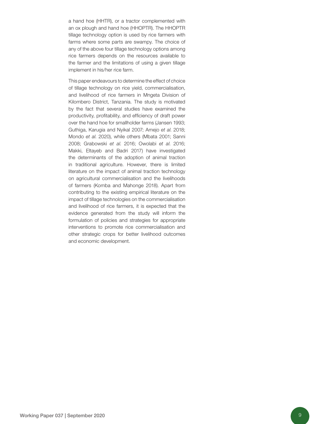a hand hoe (HHTR), or a tractor complemented with an ox plough and hand hoe (HHOPTR). The HHOPTR tillage technology option is used by rice farmers with farms where some parts are swampy. The choice of any of the above four tillage technology options among rice farmers depends on the resources available to the farmer and the limitations of using a given tillage implement in his/her rice farm.

This paper endeavours to determine the effect of choice of tillage technology on rice yield, commercialisation, and livelihood of rice farmers in Mngeta Division of Kilombero District, Tanzania. The study is motivated by the fact that several studies have examined the productivity, profitability, and efficiency of draft power over the hand hoe for smallholder farms (Jansen 1993; Guthiga, Karugia and Nyikal 2007; Amejo *et al*. 2018; Mondo *et al*. 2020), while others (Mbata 2001; Sanni 2008; Grabowski *et al*. 2016; Owolabi *et al*. 2016; Makki, Eltayeb and Badri 2017) have investigated the determinants of the adoption of animal traction in traditional agriculture. However, there is limited literature on the impact of animal traction technology on agricultural commercialisation and the livelihoods of farmers (Komba and Mahonge 2018). Apart from contributing to the existing empirical literature on the impact of tillage technologies on the commercialisation and livelihood of rice farmers, it is expected that the evidence generated from the study will inform the formulation of policies and strategies for appropriate interventions to promote rice commercialisation and other strategic crops for better livelihood outcomes and economic development.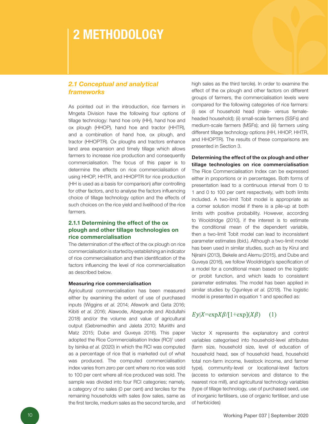### 2 METHODOLOGY

### *2.1 Conceptual and analytical frameworks*

As pointed out in the introduction, rice farmers in Mngeta Division have the following four options of tillage technology: hand hoe only (HH), hand hoe and ox plough (HHOP), hand hoe and tractor (HHTR), and a combination of hand hoe, ox plough, and tractor (HHOPTR). Ox ploughs and tractors enhance land area expansion and timely tillage which allows farmers to increase rice production and consequently commercialisation. The focus of this paper is to determine the effects on rice commercialisation of using HHOP, HHTR, and HHOPTR for rice production (HH is used as a basis for comparison) after controlling for other factors, and to analyse the factors influencing choice of tillage technology option and the effects of such choices on the rice yield and livelihood of the rice farmers.

#### 2.1.1 Determining the effect of the ox plough and other tillage technologies on rice commercialisation

The determination of the effect of the ox plough on rice commercialisation is started by establishing an indicator of rice commercialisation and then identification of the factors influencing the level of rice commercialisation as described below.

#### Measuring rice commercialisation

Agricultural commercialisation has been measured either by examining the extent of use of purchased inputs (Wiggins *et al*. 2014; Afework and Geta 2016; Kibiti *et al*. 2016; Alawode, Abegunde and Abdullahi 2018) and/or the volume and value of agricultural output (Gebremedhin and Jaleta 2010; Muriithi and Matz 2015; Dube and Guveya 2016). This paper adopted the Rice Commercialisation Index (RCI)<sup>1</sup> used by Isinika *et al*. (2020) in which the RCI was computed as a percentage of rice that is marketed out of what was produced. The computed commercialisation index varies from zero per cent where no rice was sold to 100 per cent where all rice produced was sold. The sample was divided into four RCI categories; namely, a category of no sales (0 per cent) and terciles for the remaining households with sales (low sales, same as the first tercile, medium sales as the second tercile, and

high sales as the third tercile). In order to examine the effect of the ox plough and other factors on different groups of farmers, the commercialisation levels were compared for the following categories of rice farmers: (i) sex of household head (male- versus femaleheaded household); (ii) small-scale farmers (SSFs) and medium-scale farmers (MSFs); and (iii) farmers using different tillage technology options (HH, HHOP, HHTR, and HHOPTR). The results of these comparisons are presented in Section 3.

#### Determining the effect of the ox plough and other tillage technologies on rice commercialisation

The Rice Commercialisation Index can be expressed either in proportions or in percentages. Both forms of presentation lead to a continuous interval from 0 to 1 and 0 to 100 per cent respectively, with both limits included. A two-limit Tobit model is appropriate as a corner solution model if there is a pile-up at both limits with positive probability. However, according to Wooldridge (2010), if the interest is to estimate the conditional mean of the dependent variable, then a two-limit Tobit model can lead to inconsistent parameter estimates (ibid.). Although a two-limit model has been used in similar studies, such as by Kirui and Njiraini (2013), Bekele and Alemu (2015), and Dube and Guveya (2016), we follow Wooldridge's specification of a model for a conditional mean based on the logistic or probit function, and which leads to consistent parameter estimates. The model has been applied in similar studies by Ogunleye *et al*. (2018). The logistic model is presented in equation 1 and specified as:

#### $E_y|X=\exp X\beta/[1+\exp(X\beta)]$  $(1)$

Vector X represents the explanatory and control variables categorised into household-level attributes (farm size, household size, level of education of household head, sex of household head, household total non-farm income, livestock income, and farmer type), community-level or locational-level factors (access to extension services and distance to the nearest rice mill), and agricultural technology variables (type of tillage technology, use of purchased seed, use of inorganic fertilisers, use of organic fertiliser, and use of herbicides)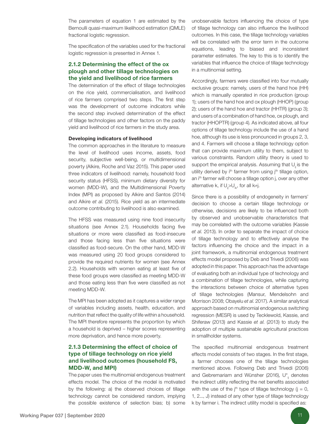The parameters of equation 1 are estimated by the Bernoulli quasi-maximum likelihood estimation (QMLE) fractional logistic regression.

The specification of the variables used for the fractional logistic regression is presented in Annex 1.

#### 2.1.2 Determining the effect of the ox plough and other tillage technologies on the yield and livelihood of rice farmers

The determination of the effect of tillage technologies on the rice yield, commercialisation, and livelihood of rice farmers comprised two steps. The first step was the development of outcome indicators while the second step involved determination of the effect of tillage technologies and other factors on the paddy yield and livelihood of rice farmers in the study area.

#### Developing indicators of livelihood

The common approaches in the literature to measure the level of livelihood uses income, assets, food security, subjective well-being, or multidimensional poverty (Alkire, Roche and Vaz 2015). This paper used three indicators of livelihood: namely, household food security status (HFSS), minimum dietary diversity for women (MDD-W), and the Multidimensional Poverty Index (MPI) as proposed by Alkire and Santos (2014) and Alkire *et al*. (2015). Rice yield as an intermediate outcome contributing to livelihood is also examined.

The HFSS was measured using nine food insecurity situations (see Annex 2.1). Households facing five situations or more were classified as food-insecure and those facing less than five situations were classified as food-secure. On the other hand, MDD-W was measured using 20 food groups considered to provide the required nutrients for women (see Annex 2.2). Households with women eating at least five of these food groups were classified as meeting MDD-W and those eating less than five were classified as not meeting MDD-W.

The MPI has been adopted as it captures a wider range of variables including assets, health, education, and nutrition that reflect the quality of life within a household. The MPI therefore represents the proportion by which a household is deprived – higher scores representing more deprivation, and hence more poverty.

#### 2.1.3 Determining the effect of choice of type of tillage technology on rice yield and livelihood outcomes (household FS, MDD-W, and MPI)

The paper uses the multinomial endogenous treatment effects model. The choice of the model is motivated by the following: a) the observed choices of tillage technology cannot be considered random, implying the possible existence of selection bias; b) some

unobservable factors influencing the choice of type of tillage technology can also influence the livelihood outcomes. In this case, the tillage technology variables will be correlated with the error term in the outcome equations, leading to biased and inconsistent parameter estimates. The key to this is to identify the variables that influence the choice of tillage technology in a multinomial setting.

Accordingly, farmers were classified into four mutually exclusive groups: namely, users of the hand hoe (HH) which is manually operated in rice production (group 1); users of the hand hoe and ox plough (HHOP) (group 2); users of the hand hoe and tractor (HHTR) (group 3); and users of a combination of hand hoe, ox plough, and tractor (HHOPTR) (group 4). As indicated above, all four options of tillage technology include the use of a hand hoe, although its use is less pronounced in groups 2, 3, and 4. Farmers will choose a tillage technology option that can provide maximum utility to them, subject to various constraints. Random utility theory is used to support the empirical analysis. Assuming that  $U_i$  is the utility derived by  $i<sup>th</sup>$  farmer from using  $i<sup>th</sup>$  tillage option, an i<sup>th</sup> farmer will choose a tillage option j, over any other alternative k, if  $U_{ii} > U_{ii}$ , for all k≠j.

Since there is a possibility of endogeneity in farmers' decision to choose a certain tillage technology or otherwise, decisions are likely to be influenced both by observed and unobservable characteristics that may be correlated with the outcome variables (Kassie *et al*. 2013). In order to separate the impact of choice of tillage technology and to effectively analyse the factors influencing the choice and the impact in a joint framework, a multinomial endogenous treatment effects model proposed by Deb and Trivedi (2006) was adopted in this paper. This approach has the advantage of evaluating both an individual type of technology and a combination of tillage technologies, while capturing the interactions between choice of alternative types of tillage technologies (Mansur, Mendelsohn and Morrison 2008; Obayelu *et al*. 2017). A similar analytical approach based on multinomial endogenous switching regression (MESR) is used by Tecklewold, Kassie, and Shiferaw (2013) and Kassie *et al*. (2013) to study the adoption of multiple sustainable agricultural practices in smallholder systems.

The specified multinomial endogenous treatment effects model consists of two stages. In the first stage, a farmer chooses one of the tillage technologies mentioned above. Following Deb and Trivedi (2006) and Gebremariam and Wünsher (2016),  $U_{ii}^*$  denotes the indirect utility reflecting the net benefits associated with the use of the  $i<sup>th</sup>$  type of tillage technology ( $j = 0$ , 1, 2..., J) instead of any other type of tillage technology k by farmer i. The indirect utility model is specified as: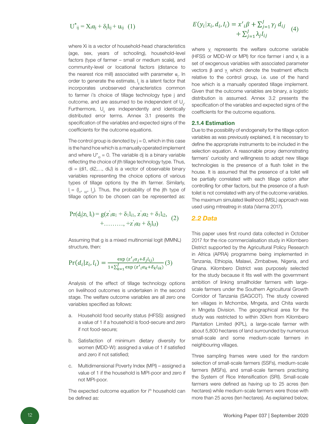$$
U^*_{ij} = X_i \alpha_j + \delta_j l_{ij} + u_{ij} \quad (1)
$$

where Xi is a vector of household-head characteristics (age, sex, years of schooling), household-level factors (type of farmer – small or medium scale), and community-level or locational factors (distance to the nearest rice mill) associated with parameter  $\alpha_{\mu}$ . In order to generate the estimate,  $I_{ii}$  is a latent factor that incorporates unobserved characteristics common to farmer i's choice of tillage technology type j and outcome, and are assumed to be independent of  $U_{ii}$ . Furthermore,  $U_{ii}$  are independently and identically distributed error terms. Annex 3.1 presents the specification of the variables and expected signs of the coefficients for the outcome equations.

The control group is denoted by  $j = 0$ , which in this case is the hand hoe which is a manually operated implement and where  $U_{i0}^* = 0$ . The variable dj is a binary variable reflecting the choice of jth tillage technology type. Thus,  $di = (di1, di2,..., diJ)$  is a vector of observable binary variables representing the choice options of various types of tillage options by the ith farmer. Similarly, l  $I_i = (I_{i1}, I_{i2}, I_{i1})$ . Thus, the probability of the jth type of tillage option to be chosen can be represented as:

$$
Pr(d_j|z_i, l_i) = g(z_i\alpha_1 + \delta_1 l_{i1}, z_i\alpha_2 + \delta_1 l_{i2},
$$
  
+........, +z<sub>i</sub> $\alpha_1$  +  $\delta_i l_{i1}$  (2)

Assuming that g is a mixed multinomial logit (MMNL) structure, then:

$$
Pr(d_i|z_i, l_i) = \frac{\exp{(z'_i a_j + \delta_j l_{ij})}}{1 + \sum_{k=1}^J \exp{(z'_i a_k + \delta_k l_{ik})}}(3)
$$

Analysis of the effect of tillage technology options on livelihood outcomes is undertaken in the second stage. The welfare outcome variables are all zero one variables specified as follows:

- a. Household food security status (HFSS): assigned a value of 1 if a household is food-secure and zero if not food-secure;
- b. Satisfaction of minimum dietary diversity for women (MDD-W): assigned a value of 1 if satisfied and zero if not satisfied;
- c. Multidimensional Poverty Index (MPI) assigned a value of 1 if the household is MPI-poor and zero if not MPI-poor.

The expected outcome equation for i<sup>th</sup> household can be defined as:

$$
E(y_i|x_i, d_i, l_i) = x'_{i}\beta + \sum_{j=1}^{J} \gamma_j d_{ij}
$$
  
+ 
$$
\sum_{j=1}^{J} \lambda_j l_{ij}
$$
 (4)

where  $y_i$  represents the welfare outcome variable (HFSS or MDD-W or MPI) for rice farmer i and  $x_i$  is a set of exogenous variables with associated parameter vectors  $β$  and  $γ$ <sub>i</sub> which denote the treatment effects relative to the control group, i.e. use of the hand hoe which is a manually operated tillage implement. Given that the outcome variables are binary, a logistic distribution is assumed. Annex 3.2 presents the specification of the variables and expected signs of the coefficients for the outcome equations.

#### 2.1.4 Estimation

Due to the possibility of endogeneity for the tillage option variables as was previously explained, it is necessary to define the appropriate instruments to be included in the selection equation. A reasonable proxy demonstrating farmers' curiosity and willingness to adopt new tillage technologies is the presence of a flush toilet in the house. It is assumed that the presence of a toilet will be partially correlated with each tillage option after controlling for other factors, but the presence of a flush toilet is not correlated with any of the outcome variables. The maximum simulated likelihood (MSL) approach was used using mtreatreg in stata (Varma 2017).

#### *2.2 Data*

This paper uses first round data collected in October 2017 for the rice commercialisation study in Kilombero District supported by the Agricultural Policy Research in Africa (APRA) programme being implemented in Tanzania, Ethiopia, Malawi, Zimbabwe, Nigeria, and Ghana. Kilombero District was purposely selected for the study because it fits well with the government ambition of linking smallholder farmers with largescale farmers under the Southern Agricultural Growth Corridor of Tanzania (SAGCOT). The study covered ten villages in Mchombe, Mngeta, and Chita wards in Mngeta Division. The geographical area for the study was restricted to within 30km from Kilombero Plantation Limited (KPL), a large-scale farmer with about 5,800 hectares of land surrounded by numerous small-scale and some medium-scale farmers in neighbouring villages.

Three sampling frames were used for the random selection of small-scale farmers (SSFs), medium-scale farmers (MSFs), and small-scale farmers practising the System of Rice Intensification (SRI). Small-scale farmers were defined as having up to 25 acres (ten hectares) while medium-scale farmers were those with more than 25 acres (ten hectares). As explained below,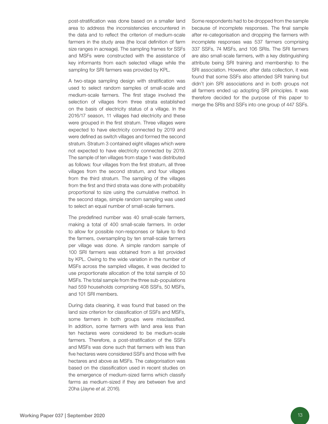post-stratification was done based on a smaller land area to address the inconsistencies encountered in the data and to reflect the criterion of medium-scale farmers in the study area (the local definition of farm size ranges in acreage). The sampling frames for SSFs and MSFs were constructed with the assistance of key informants from each selected village while the sampling for SRI farmers was provided by KPL.

A two-stage sampling design with stratification was used to select random samples of small-scale and medium-scale farmers. The first stage involved the selection of villages from three strata established on the basis of electricity status of a village. In the 2016/17 season, 11 villages had electricity and these were grouped in the first stratum. Three villages were expected to have electricity connected by 2019 and were defined as switch villages and formed the second stratum. Stratum 3 contained eight villages which were not expected to have electricity connected by 2019. The sample of ten villages from stage 1 was distributed as follows: four villages from the first stratum, all three villages from the second stratum, and four villages from the third stratum. The sampling of the villages from the first and third strata was done with probability proportional to size using the cumulative method. In the second stage, simple random sampling was used to select an equal number of small-scale farmers.

The predefined number was 40 small-scale farmers, making a total of 400 small-scale farmers. In order to allow for possible non-responses or failure to find the farmers, oversampling by ten small-scale farmers per village was done. A simple random sample of 100 SRI farmers was obtained from a list provided by KPL. Owing to the wide variation in the number of MSFs across the sampled villages, it was decided to use proportionate allocation of the total sample of 50 MSFs. The total sample from the three sub-populations had 559 households comprising 408 SSFs, 50 MSFs, and 101 SRI members.

During data cleaning, it was found that based on the land size criterion for classification of SSFs and MSFs, some farmers in both groups were misclassified. In addition, some farmers with land area less than ten hectares were considered to be medium-scale farmers. Therefore, a post-stratification of the SSFs and MSFs was done such that farmers with less than five hectares were considered SSFs and those with five hectares and above as MSFs. The categorisation was based on the classification used in recent studies on the emergence of medium-sized farms which classify farms as medium-sized if they are between five and 20ha (Jayne *et al*. 2016).

Some respondents had to be dropped from the sample because of incomplete responses. The final sample after re-categorisation and dropping the farmers with incomplete responses was 537 farmers comprising 337 SSFs, 74 MSFs, and 106 SRIs. The SRI farmers are also small-scale farmers, with a key distinguishing attribute being SRI training and membership to the SRI association. However, after data collection, it was found that some SSFs also attended SRI training but didn't join SRI associations and in both groups not all farmers ended up adopting SRI principles. It was therefore decided for the purpose of this paper to merge the SRIs and SSFs into one group of 447 SSFs.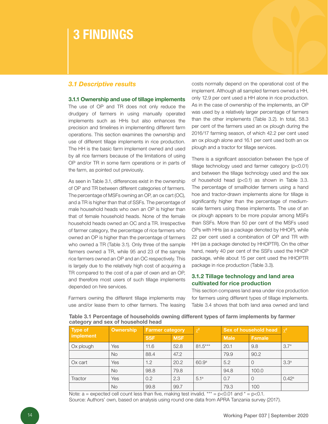### 3 FINDINGS

#### *3.1 Descriptive results*

#### 3.1.1 Ownership and use of tillage implements

The use of OP and TR does not only reduce the drudgery of farmers in using manually operated implements such as HHs but also enhances the precision and timelines in implementing different farm operations. This section examines the ownership and use of different tillage implements in rice production. The HH is the basic farm implement owned and used by all rice farmers because of the limitations of using OP and/or TR in some farm operations or in parts of the farm, as pointed out previously.

As seen in Table 3.1, differences exist in the ownership of OP and TR between different categories of farmers. The percentage of MSFs owning an OP, an ox cart (OC), and a TR is higher than that of SSFs. The percentage of male household heads who own an OP is higher than that of female household heads. None of the female household heads owned an OC and a TR. Irrespective of farmer category, the percentage of rice farmers who owned an OP is higher than the percentage of farmers who owned a TR (Table 3.1). Only three of the sample farmers owned a TR, while 95 and 23 of the sample rice farmers owned an OP and an OC respectively. This is largely due to the relatively high cost of acquiring a TR compared to the cost of a pair of oxen and an OP, and therefore most users of such tillage implements depended on hire services.

Farmers owning the different tillage implements may use and/or lease them to other farmers. The leasing costs normally depend on the operational cost of the implement. Although all sampled farmers owned a HH, only 12.9 per cent used a HH alone in rice production. As in the case of ownership of the implements, an OP was used by a relatively larger percentage of farmers than the other implements (Table 3.2). In total, 58.3 per cent of the farmers used an ox plough during the 2016/17 farming season, of which 42.2 per cent used an ox plough alone and 16.1 per cent used both an ox plough and a tractor for tillage services.

There is a significant association between the type of tillage technology used and farmer category (p<0.01) and between the tillage technology used and the sex of household head (p<0.1) as shown in Table 3.3. The percentage of smallholder farmers using a hand hoe and tractor-drawn implements alone for tillage is significantly higher than the percentage of mediumscale farmers using these implements. The use of an ox plough appears to be more popular among MSFs than SSFs. More than 50 per cent of the MSFs used OPs with HHs (as a package denoted by HHOP), while 22 per cent used a combination of OP and TR with HH (as a package denoted by HHOPTR). On the other hand, nearly 40 per cent of the SSFs used the HHOP package, while about 15 per cent used the HHOPTR package in rice production (Table 3.3).

#### 3.1.2 Tillage technology and land area cultivated for rice production

This section compares land area under rice production for farmers using different types of tillage implements. Table 3.4 shows that both land area owned and land

Table 3.1 Percentage of households owning different types of farm implements by farmer category and sex of household head

| Type of   | Ownership | <b>Farmer category</b> |            | $\chi^2$          | Sex of household head | $\chi^2$ |                  |
|-----------|-----------|------------------------|------------|-------------------|-----------------------|----------|------------------|
| implement |           | <b>SSF</b>             | <b>MSF</b> |                   | <b>Male</b>           | Female   |                  |
| Ox plough | Yes       | 11.6                   | 52.8       | $81.5***$         | 20.1                  | 9.8      | $3.7*$           |
|           | <b>No</b> | 88.4                   | 47.2       |                   | 79.9                  | 90.2     |                  |
| Ox cart   | Yes       | 1.2                    | 20.2       | 60.9 <sup>a</sup> | 5.2                   | $\Omega$ | 3.3 <sup>a</sup> |
|           | <b>No</b> | 98.8                   | 79.8       |                   | 94.8                  | 100.0    |                  |
| Tractor   | Yes       | 0.2                    | 2.3        | 5.1 <sup>a</sup>  | 0.7                   | $\Omega$ | $0.42^{\rm a}$   |
|           | <b>No</b> | 99.8                   | 99.7       |                   | 79.3                  | 100      |                  |

Note:  $a =$  expected cell count less than five, making test invalid. \*\*\* = p<0.01 and \* = p<0.1. Source: Authors' own, based on analysis using round one data from APRA Tanzania survey (2017).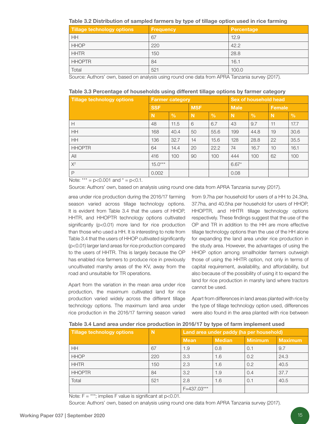Table 3.2 Distribution of sampled farmers by type of tillage option used in rice farming

| Tillage technology options | <b>Frequency</b> | Percentage |
|----------------------------|------------------|------------|
| <b>HH</b>                  | 67               | 12.9       |
| <b>HHOP</b>                | 220              | 42.2       |
| <b>HHTR</b>                | 150              | 28.8       |
| <b>HHOPTR</b>              | 84               | 16.1       |
| Total                      | 521              | 100.0      |

Source: Authors' own, based on analysis using round one data from APRA Tanzania survey (2017).

| Table 3.3 Percentage of households using different tillage options by farmer category |  |  |  |
|---------------------------------------------------------------------------------------|--|--|--|
|---------------------------------------------------------------------------------------|--|--|--|

| <b>Tillage technology options</b> |            | <b>Farmer category</b> |             |               | Sex of household head |               |               |      |
|-----------------------------------|------------|------------------------|-------------|---------------|-----------------------|---------------|---------------|------|
|                                   | <b>SSF</b> |                        | <b>MSF</b>  |               | <b>Male</b>           |               | <b>Female</b> |      |
|                                   | N          | $\frac{9}{6}$          | $\mathbf N$ | $\frac{0}{0}$ | N                     | $\frac{9}{6}$ | N             | $\%$ |
| H                                 | 48         | 11.5                   | 6           | 6.7           | 43                    | 9.7           | 11            | 17.7 |
| HH                                | 168        | 40.4                   | 50          | 55.6          | 199                   | 44.8          | 19            | 30.6 |
| <b>HH</b>                         | 136        | 32.7                   | 14          | 15.6          | 128                   | 28.8          | 22            | 35.5 |
| <b>HHOPTR</b>                     | 64         | 14.4                   | 20          | 22.2          | 74                    | 16.7          | 10            | 16.1 |
| All                               | 416        | 100                    | 90          | 100           | 444                   | 100           | 62            | 100  |
| $X^2$                             | $15.0***$  |                        |             |               | $6.67*$               |               |               |      |
| $\mathsf{P}$                      | 0.002      |                        |             |               | 0.08                  |               |               |      |

Note:  $*** = p<0.001$  and  $* = p<0.1$ .

Source: Authors' own, based on analysis using round one data from APRA Tanzania survey (2017).

area under rice production during the 2016/17 farming season varied across tillage technology options. It is evident from Table 3.4 that the users of HHOP, HHTR, and HHOPTR technology options cultivated significantly (p<0.01) more land for rice production than those who used a HH. It is interesting to note from Table 3.4 that the users of HHOP cultivated significantly (p<0.01) larger land areas for rice production compared to the users of HHTR. This is largely because the OP has enabled rice farmers to produce rice in previously uncultivated marshy areas of the KV, away from the road and unsuitable for TR operations.

Apart from the variation in the mean area under rice production, the maximum cultivated land for rice production varied widely across the different tillage technology options. The maximum land area under rice production in the 2016/17 farming season varied

from 9.7ha per household for users of a HH to 24.3ha, 37.7ha, and 40.5ha per household for users of HHOP, HHOPTR, and HHTR tillage technology options respectively. These findings suggest that the use of the OP and TR in addition to the HH are more effective tillage technology options than the use of the HH alone for expanding the land area under rice production in the study area. However, the advantages of using the HHOP option among smallholder farmers outweigh those of using the HHTR option, not only in terms of capital requirement, availability, and affordability, but also because of the possibility of using it to expand the land for rice production in marshy land where tractors cannot be used.

Apart from differences in land areas planted with rice by the type of tillage technology option used, differences were also found in the area planted with rice between

|  | Table 3.4 Land area under rice production in 2016/17 by type of farm implement used |  |
|--|-------------------------------------------------------------------------------------|--|
|--|-------------------------------------------------------------------------------------|--|

| Tillage technology options | N<br>Land area under paddy (ha per household) |             |               |                |                |  |  |  |  |
|----------------------------|-----------------------------------------------|-------------|---------------|----------------|----------------|--|--|--|--|
|                            |                                               | <b>Mean</b> | <b>Median</b> | <b>Minimum</b> | <b>Maximum</b> |  |  |  |  |
| HH                         | 67                                            | 1.9         | 0.8           | 0.1            | 9.7            |  |  |  |  |
| <b>HHOP</b>                | 220                                           | 3.3         | 1.6           | 0.2            | 24.3           |  |  |  |  |
| <b>HHTR</b>                | 150                                           | 2.3         | 1.6           | 0.2            | 40.5           |  |  |  |  |
| <b>HHOPTR</b>              | 84                                            | 3.2         | 1.9           | 0.4            | 37.7           |  |  |  |  |
| Total                      | 521                                           | 2.8         | 1.6           | 0.1            | 40.5           |  |  |  |  |
|                            |                                               | F=437.03*** |               |                |                |  |  |  |  |

Note:  $F =$  \*\*\*; implies F value is significant at  $p$  < 0.01.

Source: Authors' own, based on analysis using round one data from APRA Tanzania survey (2017).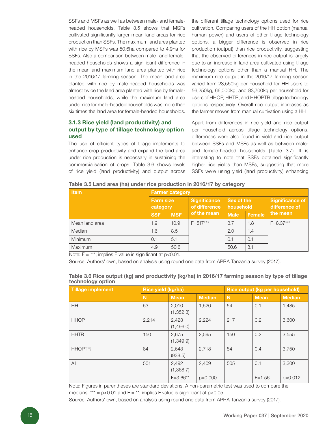SSFs and MSFs as well as between male- and femaleheaded households. Table 3.5 shows that MSFs cultivated significantly larger mean land areas for rice production than SSFs. The maximum land area planted with rice by MSFs was 50.6ha compared to 4.9ha for SSFs. Also a comparison between male- and femaleheaded households shows a significant difference in the mean and maximum land area planted with rice in the 2016/17 farming season. The mean land area planted with rice by male-headed households was almost twice the land area planted with rice by femaleheaded households, while the maximum land area under rice for male-headed households was more than six times the land area for female-headed households.

#### 3.1.3 Rice yield (land productivity) and output by type of tillage technology option used

The use of efficient types of tillage implements to enhance crop productivity and expand the land area under rice production is necessary in sustaining the commercialisation of crops. Table 3.6 shows levels of rice yield (land productivity) and output across the different tillage technology options used for rice cultivation. Comparing users of the HH option (manual human power) and users of other tillage technology options, a bigger difference is observed in rice production (output) than rice productivity, suggesting that the observed differences in rice output is largely due to an increase in land area cultivated using tillage technology options other than a manual HH. The maximum rice output in the 2016/17 farming season varied from 23,550kg per household for HH users to 56,250kg, 66,000kg, and 83,700kg per household for users of HHOP, HHTR, and HHOPTR tillage technology options respectively. Overall rice output increases as the farmer moves from manual cultivation using a HH

Apart from differences in rice yield and rice output per household across tillage technology options, differences were also found in yield and rice output between SSFs and MSFs as well as between maleand female-headed households (Table 3.7). It is interesting to note that SSFs obtained significantly higher rice yields than MSFs, suggesting that more SSFs were using yield (land productivity) enhancing

| Table 3.5 Land area (ha) under rice production in 2016/17 by category |  |  |  |  |  |  |  |  |  |
|-----------------------------------------------------------------------|--|--|--|--|--|--|--|--|--|
|-----------------------------------------------------------------------|--|--|--|--|--|--|--|--|--|

| <b>Item</b>    | <b>Farmer category</b>       |            |                                      |                         |        |                                         |  |
|----------------|------------------------------|------------|--------------------------------------|-------------------------|--------|-----------------------------------------|--|
|                | <b>Farm size</b><br>category |            | <b>Significance</b><br>of difference | Sex of the<br>household |        | <b>Significance of</b><br>difference of |  |
|                | <b>SSF</b>                   | <b>MSF</b> | of the mean                          | <b>Male</b>             | Female | the mean                                |  |
| Mean land area | 1.9                          | 10.9       | $F = 517***$                         | 3.7                     | 1.8    | $F = 8.37***$                           |  |
| Median         | 1.6                          | 8.5        |                                      | 2.0                     | 1.4    |                                         |  |
| <b>Minimum</b> | 0.1                          | 5.1        |                                      | 0.1                     | 0.1    |                                         |  |
| Maximum        | 4.9                          | 50.6       |                                      | 50.6                    | 8.1    |                                         |  |

Note:  $F =$ \*\*\*; implies F value is significant at  $p < 0.01$ .

Source: Authors' own, based on analysis using round one data from APRA Tanzania survey (2017).

| Tillage implement | Rice yield (kg/ha)                |                     |           | Rice output (kg per household) |             |               |  |
|-------------------|-----------------------------------|---------------------|-----------|--------------------------------|-------------|---------------|--|
|                   | N<br><b>Mean</b><br><b>Median</b> |                     |           | N                              | <b>Mean</b> | <b>Median</b> |  |
| <b>HH</b>         | 53                                | 2,010<br>(1, 352.3) | 1,520     | 54                             | 0.1         | 1,485         |  |
| <b>HHOP</b>       | 2,214                             | 2,423<br>(1,496.0)  | 2,224     | 217                            | 0.2         | 3,600         |  |
| <b>HHTR</b>       | 150                               | 2,675<br>(1, 349.9) | 2,595     | 150                            | 0.2         | 3,555         |  |
| <b>HHOPTR</b>     | 84                                | 2,643<br>(938.5)    | 2.718     | 84                             | 0.4         | 3,750         |  |
| All               | 501                               | 2,492<br>(1,368.7)  | 2,409     | 505                            | 0.1         | 3,300         |  |
|                   |                                   | $F = 3.66***$       | $p=0.000$ |                                | $F = 1.56$  | $p=0.012$     |  |

#### Table 3.6 Rice output (kg) and productivity (kg/ha) in 2016/17 farming season by type of tillage technology option

Note: Figures in parentheses are standard deviations. A non-parametric test was used to compare the medians.  $*** = p<0.01$  and  $F = **$ ; implies F value is significant at  $p<0.05$ .

Source: Authors' own, based on analysis using round one data from APRA Tanzania survey (2017).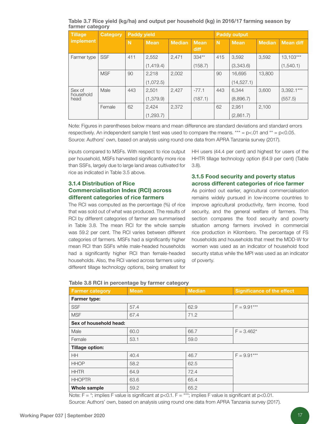Table 3.7 Rice yield (kg/ha) and output per household (kg) in 2016/17 farming season by farmer category

| <b>Tillage</b>      | <b>Paddy yield</b><br><b>Category</b> |     |             |               | <b>Paddy output</b> |     |             |               |                  |
|---------------------|---------------------------------------|-----|-------------|---------------|---------------------|-----|-------------|---------------|------------------|
| <b>implement</b>    |                                       | N   | <b>Mean</b> | <b>Median</b> | <b>Mean</b><br>diff | N   | <b>Mean</b> | <b>Median</b> | <b>Mean diff</b> |
| Farmer type         | <b>SSF</b>                            | 411 | 2,552       | 2,471         | $334**$             | 415 | 3,592       | 3,592         | 13.103***        |
|                     |                                       |     | (1,419.4)   |               | (158.7)             |     | (3,343.6)   |               | (1, 540.1)       |
|                     | <b>MSF</b>                            | 90  | 2.218       | 2,002         |                     | 90  | 16,695      | 13,800        |                  |
|                     |                                       |     | (1,072.5)   |               |                     |     | (14, 527.1) |               |                  |
| Sex of<br>household | Male                                  | 443 | 2,501       | 2,427         | $-77.1$             | 443 | 6.344       | 3,600         | $3,392.1***$     |
| head                |                                       |     | (1,379.9)   |               | (187.1)             |     | (8,896.7)   |               | (557.5)          |
|                     | Female                                | 62  | 2,424       | 2,372         |                     | 62  | 2,951       | 2,100         |                  |
|                     |                                       |     | (1,293.7)   |               |                     |     | (2,861.7)   |               |                  |

Note: Figures in parentheses below means and mean difference are standard deviations and standard errors respectively. An independent sample t test was used to compare the means.  $*** = p<.01$  and  $** = p<.005$ . Source: Authors' own, based on analysis using round one data from APRA Tanzania survey (2017).

inputs compared to MSFs. With respect to rice output per household, MSFs harvested significantly more rice than SSFs, largely due to large land areas cultivated for rice as indicated in Table 3.5 above.

#### 3.1.4 Distribution of Rice Commercialisation Index (RCI) across different categories of rice farmers

The RCI was computed as the percentage (%) of rice that was sold out of what was produced. The results of RCI by different categories of farmer are summarised in Table 3.8. The mean RCI for the whole sample was 59.2 per cent. The RCI varies between different categories of farmers. MSFs had a significantly higher mean RCI than SSFs while male-headed households had a significantly higher RCI than female-headed households. Also, the RCI varied across farmers using different tillage technology options, being smallest for

HH users (44.4 per cent) and highest for users of the HHTR tillage technology option (64.9 per cent) (Table 3.8).

#### 3.1.5 Food security and poverty status across different categories of rice farmer

As pointed out earlier, agricultural commercialisation remains widely pursued in low-income countries to improve agricultural productivity, farm income, food security, and the general welfare of farmers. This section compares the food security and poverty situation among farmers involved in commercial rice production in Kilombero. The percentage of FS households and households that meet the MDD-W for women was used as an indicator of household food security status while the MPI was used as an indicator of poverty.

| <b>Farmer category</b> | <b>Mean</b> | <b>Median</b> | <b>Significance of the effect</b> |  |  |  |  |
|------------------------|-------------|---------------|-----------------------------------|--|--|--|--|
| <b>Farmer type:</b>    |             |               |                                   |  |  |  |  |
| <b>SSF</b>             | 57.4        | 62.9          | $F = 9.91***$                     |  |  |  |  |
| <b>MSF</b>             | 67.4        | 71.2          |                                   |  |  |  |  |
| Sex of household head: |             |               |                                   |  |  |  |  |
| Male                   | 60.0        | 66.7          | $F = 3.462*$                      |  |  |  |  |
| Female                 | 53.1        | 59.0          |                                   |  |  |  |  |
| <b>Tillage option:</b> |             |               |                                   |  |  |  |  |
| <b>HH</b>              | 40.4        | 46.7          | $F = 9.91***$                     |  |  |  |  |
| <b>HHOP</b>            | 58.2        | 62.5          |                                   |  |  |  |  |
| <b>HHTR</b>            | 64.9        | 72.4          |                                   |  |  |  |  |
| <b>HHOPTR</b>          | 63.6        | 65.4          |                                   |  |  |  |  |
| Whole sample           | 59.2        | 65.2          |                                   |  |  |  |  |

#### Table 3.8 RCI in percentage by farmer category

Note:  $F = *$ ; implies F value is significant at p<0.1.  $F = ***$ ; implies F value is significant at p<0.01. Source: Authors' own, based on analysis using round one data from APRA Tanzania survey (2017).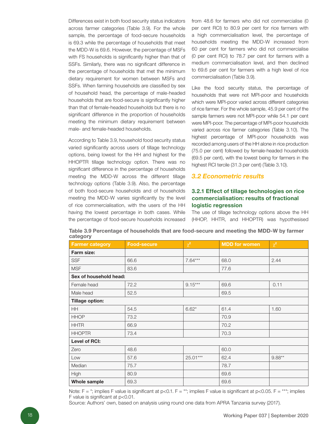Differences exist in both food security status indicators across farmer categories (Table 3.9). For the whole sample, the percentage of food-secure households is 69.3 while the percentage of households that meet the MDD-W is 69.6. However, the percentage of MSFs with FS households is significantly higher than that of SSFs. Similarly, there was no significant difference in the percentage of households that met the minimum dietary requirement for women between MSFs and SSFs. When farming households are classified by sex of household head, the percentage of male-headed households that are food-secure is significantly higher than that of female-headed households but there is no significant difference in the proportion of households meeting the minimum dietary requirement between male- and female-headed households.

According to Table 3.9, household food security status varied significantly across users of tillage technology options, being lowest for the HH and highest for the HHOPTR tillage technology option. There was no significant difference in the percentage of households meeting the MDD-W across the different tillage technology options (Table 3.9). Also, the percentage of both food-secure households and of households meeting the MDD-W varies significantly by the level of rice commercialisation, with the users of the HH having the lowest percentage in both cases. While the percentage of food-secure households increased from 48.6 for farmers who did not commercialise (0 per cent RCI) to 80.9 per cent for rice farmers with a high commercialisation level, the percentage of households meeting the MDD-W increased from 60 per cent for farmers who did not commercialise (0 per cent RCI) to 78.7 per cent for farmers with a medium commercialisation level, and then declined to 69.6 per cent for farmers with a high level of rice commercialisation (Table 3.9).

Like the food security status, the percentage of households that were not MPI-poor and households which were MPI-poor varied across different categories of rice farmer. For the whole sample, 45.9 per cent of the sample farmers were not MPI-poor while 54.1 per cent were MPI-poor. The percentage of MPI-poor households varied across rice farmer categories (Table 3.10). The highest percentage of MPI-poor households was recorded among users of the HH alone in rice production (75.0 per cent) followed by female-headed households (69.5 per cent), with the lowest being for farmers in the highest RCI tercile (31.3 per cent) (Table 3.10).

#### *3.2 Econometric results*

#### 3.2.1 Effect of tillage technologies on rice commercialisation: results of fractional logistic regression

The use of tillage technology options above the HH (HHOP, HHTR, and HHOPTR) was hypothesised

| <b>Farmer category</b> | <b>Food-secure</b> | $\chi^2$  | <b>MDD</b> for women | $\chi^2$ |
|------------------------|--------------------|-----------|----------------------|----------|
| Farm size:             |                    |           |                      |          |
| <b>SSF</b>             | 66.6               | $7.64***$ | 68.0                 | 2.44     |
| <b>MSF</b>             | 83.6               |           | 77.6                 |          |
| Sex of household head: |                    |           |                      |          |
| Female head            | 72.2               | $9.15***$ | 69.6                 | 0.11     |
| Male head              | 52.5               |           | 69.5                 |          |
| <b>Tillage option:</b> |                    |           |                      |          |
| <b>HH</b>              | 54.5               | $6.62*$   | 61.4                 | 1.60     |
| <b>HHOP</b>            | 73.2               |           | 70.9                 |          |
| <b>HHTR</b>            | 66.9               |           | 70.2                 |          |
| <b>HHOPTR</b>          | 73.4               |           | 70.3                 |          |
| Level of RCI:          |                    |           |                      |          |
| Zero                   | 48.6               |           | 60.0                 |          |
| Low                    | 57.6               | 25.01***  | 62.4                 | $9.88**$ |
| Median                 | 75.7               |           | 78.7                 |          |
| High                   | 80.9               |           | 69.6                 |          |
| <b>Whole sample</b>    | 69.3               |           | 69.6                 |          |

Table 3.9 Percentage of households that are food-secure and meeting the MDD-W by farmer category

Note:  $F = *$ ; implies F value is significant at  $p<0.1$ . F = \*\*; implies F value is significant at  $p<0.05$ . F = \*\*\*; implies F value is significant at p<0.01.

Source: Authors' own, based on analysis using round one data from APRA Tanzania survey (2017).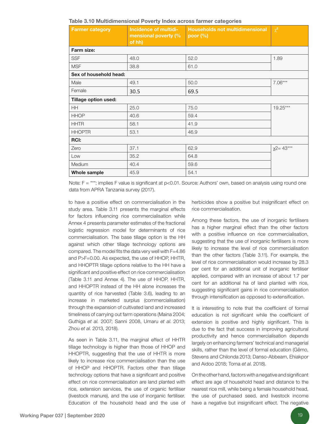| <b>Farmer category</b> | Incidence of multidi-<br>mensional poverty (%<br>of hh) | <b>Households not multidimensional</b><br>poor $(\%)$ | $\chi^2$        |
|------------------------|---------------------------------------------------------|-------------------------------------------------------|-----------------|
| Farm size:             |                                                         |                                                       |                 |
| <b>SSF</b>             | 48.0                                                    | 52.0                                                  | 1.89            |
| <b>MSF</b>             | 38.8                                                    | 61.0                                                  |                 |
| Sex of household head: |                                                         |                                                       |                 |
| Male                   | 49.1                                                    | 50.0                                                  | $7.06***$       |
| Female                 | 30.5                                                    | 69.5                                                  |                 |
| Tillage option used:   |                                                         |                                                       |                 |
| <b>HH</b>              | 25.0                                                    | 75.0                                                  | $19.25***$      |
| <b>HHOP</b>            | 40.6                                                    | 59.4                                                  |                 |
| <b>HHTR</b>            | 58.1                                                    | 41.9                                                  |                 |
| <b>HHOPTR</b>          | 53.1                                                    | 46.9                                                  |                 |
| <b>RCI:</b>            |                                                         |                                                       |                 |
| Zero                   | 37.1                                                    | 62.9                                                  | $x^{2} = 43***$ |
| Low                    | 35.2                                                    | 64.8                                                  |                 |
| Medium                 | 40.4                                                    | 59.6                                                  |                 |
| Whole sample           | 45.9                                                    | 54.1                                                  |                 |

Table 3.10 Multidimensional Poverty Index across farmer categories

Note: F = \*\*\*; implies F value is significant at p<0.01. Source: Authors' own, based on analysis using round one data from APRA Tanzania survey (2017).

to have a positive effect on commercialisation in the study area. Table 3.11 presents the marginal effects for factors influencing rice commercialisation while Annex 4 presents parameter estimates of the fractional logistic regression model for determinants of rice commercialisation. The base tillage option is the HH against which other tillage technology options are compared. The model fits the data very well with F=4.86 and P>F=0.00. As expected, the use of HHOP, HHTR, and HHOPTR tillage options relative to the HH have a significant and positive effect on rice commercialisation (Table 3.11 and Annex 4). The use of HHOP, HHTR, and HHOPTR instead of the HH alone increases the quantity of rice harvested (Table 3.6), leading to an increase in marketed surplus (commercialisation) through the expansion of cultivated land and increased timeliness of carrying out farm operations (Maina 2004; Guthiga *et al.* 2007; Sanni 2008, Umaru *et al*. 2013; Zhou *et al*. 2013, 2018).

As seen in Table 3.11, the marginal effect of HHTR tillage technology is higher than those of HHOP and HHOPTR, suggesting that the use of HHTR is more likely to increase rice commercialisation than the use of HHOP and HHOPTR. Factors other than tillage technology options that have a significant and positive effect on rice commercialisation are land planted with rice, extension services, the use of organic fertiliser (livestock manure), and the use of inorganic fertiliser. Education of the household head and the use of

herbicides show a positive but insignificant effect on rice commercialisation.

Among these factors, the use of inorganic fertilisers has a higher marginal effect than the other factors with a positive influence on rice commercialisation, suggesting that the use of inorganic fertilisers is more likely to increase the level of rice commercialisation than the other factors (Table 3.11). For example, the level of rice commercialisation would increase by 28.3 per cent for an additional unit of inorganic fertiliser applied, compared with an increase of about 1.7 per cent for an additional ha of land planted with rice, suggesting significant gains in rice commercialisation through intensification as opposed to extensification.

It is interesting to note that the coefficient of formal education is not significant while the coefficient of extension is positive and highly significant. This is due to the fact that success in improving agricultural productivity and hence commercialisation depends largely on enhancing farmers' technical and managerial skills, rather than the level of formal education (Gêmo, Stevens and Chilonda 2013; Danso-Abbeam, Ehiakpor and Aidoo 2018; Toma *et al*. 2018).

On the other hand, factors with a negative and significant effect are age of household head and distance to the nearest rice mill, while being a female household head, the use of purchased seed, and livestock income have a negative but insignificant effect. The negative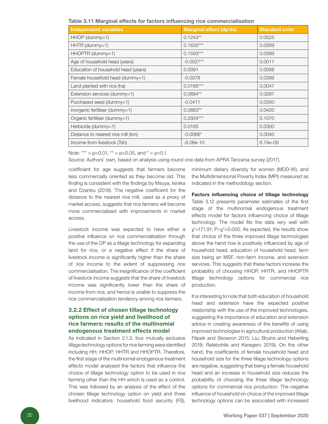| <b>Independent variables</b>        | Marginal effect (dy/dx) | <b>Standard error</b> |
|-------------------------------------|-------------------------|-----------------------|
| HHOP (dummy=1)                      | $0.1243**$              | 0.0525                |
| HHTR (dummy=1)                      | $0.1630***$             | 0.0569                |
| HHOPTR (dummy=1)                    | $0.1593***$             | 0.0589                |
| Age of household head (years)       | $-0.0027**$             | 0.0011                |
| Education of household head (years) | 0.0091                  | 0.0056                |
| Female household head (dummy=1)     | $-0.0078$               | 0.0399                |
| Land planted with rice (ha)         | $0.0166***$             | 0.0047                |
| Extension services (dummy=1)        | $0.0684**$              | 0.0287                |
| Purchased seed (dummy=1)            | $-0.0411$               | 0.0350                |
| Inorganic fertiliser (dummy=1)      | $0.0883**$              | 0.0420                |
| Organic fertiliser (dummy=1)        | $0.2934***$             | 0.1070                |
| Herbicide (dummy=1)                 | 0.0165                  | 0.0300                |
| Distance to nearest rice mill (km)  | $-0.0066*$              | 0.0040                |
| Income from livestock (Tsh)         | $-8.06e-10$             | 6.74e-09              |

Note:  $*** = p<0.01$ ,  $** = p<0.05$ , and  $* = p<0.1$ .

Source: Authors' own, based on analysis using round one data from APRA Tanzania survey (2017).

coefficient for age suggests that farmers become less commercially oriented as they become old. This finding is consistent with the findings by Msuya, Isinika and Dzanku (2018). The negative coefficient for the distance to the nearest rice mill, used as a proxy of market access, suggests that rice farmers will become more commercialised with improvements in market access.

Livestock income was expected to have either a positive influence on rice commercialisation through the use of the OP as a tillage technology for expanding land for rice, or a negative effect if the share of livestock income is significantly higher than the share of rice income to the extent of suppressing rice commercialisation. The insignificance of the coefficient of livestock income suggests that the share of livestock income was significantly lower than the share of income from rice, and hence is unable to suppress the rice commercialisation tendency among rice farmers.

#### 3.2.2 Effect of chosen tillage technology options on rice yield and livelihood of rice farmers: results of the multinomial endogenous treatment effects model

As indicated in Section 2.1.3, four mutually exclusive tillage technology options for rice farming were identified including HH, HHOP, HHTR and HHOPTR. Therefore, the first stage of the multinomial endogenous treatment effects model analysed the factors that influence the choice of tillage technology option to be used in rice farming other than the HH which is used as a control. This was followed by an analysis of the effect of the chosen tillage technology option on yield and three livelihood indicators: household food security (FS),

minimum dietary diversity for women (MDD-W), and the Multidimensional Poverty Index (MPI) measured as indicated in the methodology section.

Factors influencing choice of tillage technology Table 3.12 presents parameter estimates of the first stage of the multinomial endogenous treatment effects model for factors influencing choice of tillage technology. The model fits the data very well with  $\chi^2$ =171.91; P> $\chi^2$ =0.000. As expected, the results show that choice of the three improved tillage technologies above the hand hoe is positively influenced by age of household head, education of household head, farm size being an MSF, non-farm income, and extension services. This suggests that these factors increase the probability of choosing HHOP, HHTR, and HHOPTR tillage technology options for commercial rice production.

It is interesting to note that both education of household head and extension have the expected positive relationship with the use of the improved technologies, suggesting the importance of education and extension advice in creating awareness of the benefits of using improved technologies in agricultural production (Altab, Filipek and Skowron 2015; Liu, Bruins and Heberling 2018; Relebohile and Keregero 2019). On the other hand, the coefficients of female household head and household size for the three tillage technology options are negative, suggesting that being a female household head and an increase in household size reduces the probability of choosing the three tillage technology options for commercial rice production. The negative influence of household on choice of the improved tillage technology options can be associated with increased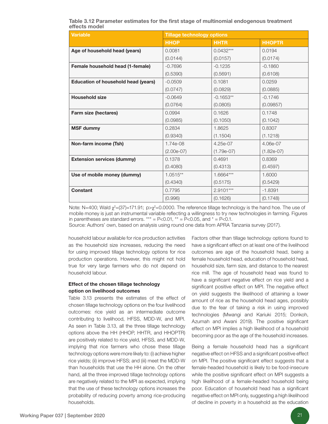| Table 3.12 Parameter estimates for the first stage of multinomial endogenous treatment |  |  |  |  |
|----------------------------------------------------------------------------------------|--|--|--|--|
| effects model                                                                          |  |  |  |  |

| <b>Variable</b>                     | <b>Tillage technology options</b> |              |               |  |  |  |
|-------------------------------------|-----------------------------------|--------------|---------------|--|--|--|
|                                     | <b>HHOP</b>                       | <b>HHTR</b>  | <b>HHOPTR</b> |  |  |  |
| Age of household head (years)       | 0.0081                            | $0.0432***$  | 0.0194        |  |  |  |
|                                     | (0.0144)                          | (0.0157)     | (0.0174)      |  |  |  |
| Female household head (1-female)    | $-0.7696$                         | $-0.1235$    | $-0.1860$     |  |  |  |
|                                     | (0.5390)                          | (0.5691)     | (0.6108)      |  |  |  |
| Education of household head (years) | $-0.0509$                         | 0.1081       | 0.0259        |  |  |  |
|                                     | (0.0747)                          | (0.0829)     | (0.0885)      |  |  |  |
| <b>Household size</b>               | $-0.0649$                         | $-0.1653**$  | $-0.1746$     |  |  |  |
|                                     | (0.0764)                          | (0.0805)     | (0.09857)     |  |  |  |
| Farm size (hectares)                | 0.0994                            | 0.1626       | 0.1748        |  |  |  |
|                                     | (0.0985)                          | (0.1050)     | (0.1042)      |  |  |  |
| <b>MSF dummy</b>                    | 0.2834                            | 1.8625       | 0.8307        |  |  |  |
|                                     | (0.9340)                          | (1.1504)     | (1.1218)      |  |  |  |
| Non-farm income (Tsh)               | 1.74e-08                          | 4.25e-07     | 4.06e-07      |  |  |  |
|                                     | $(2.00e-07)$                      | $(1.79e-07)$ | $(1.82e-07)$  |  |  |  |
| <b>Extension services (dummy)</b>   | 0.1378                            | 0.4691       | 0.8369        |  |  |  |
|                                     | (0.4080)                          | (0.4313)     | (0.4597)      |  |  |  |
| Use of mobile money (dummy)         | $1.0515**$                        | 1.6664***    | 1.6000        |  |  |  |
|                                     | (0.4340)                          | (0.5175)     | (0.5429)      |  |  |  |
| <b>Constant</b>                     | 0.7795                            | 2.9101***    | $-1.8391$     |  |  |  |
|                                     | (0.996)                           | (0.1626)     | (0.1748)      |  |  |  |

Note: N=400; Wald  $\chi^2$ =(37)=171.91; p> $\chi^2$ =0.0000. The reference tillage technology is the hand hoe. The use of mobile money is just an instrumental variable reflecting a willingness to try new technologies in farming. Figures in parentheses are standard errors. \*\*\* = P<0.01, \*\* = P<0.05, and  $* = P<0.1$ .

Source: Authors' own, based on analysis using round one data from APRA Tanzania survey (2017).

household labour available for rice production activities as the household size increases, reducing the need for using improved tillage technology options for rice production operations. However, this might not hold true for very large farmers who do not depend on household labour.

#### Effect of the chosen tillage technology option on livelihood outcomes

Table 3.13 presents the estimates of the effect of chosen tillage technology options on the four livelihood outcomes: rice yield as an intermediate outcome contributing to livelihood, HFSS, MDD-W, and MPI. As seen in Table 3.13, all the three tillage technology options above the HH (HHOP, HHTR, and HHOPTR) are positively related to rice yield, HFSS, and MDD-W, implying that rice farmers who chose these tillage technology options were more likely to: (i) achieve higher rice yields; (ii) improve HFSS; and (iii) meet the MDD-W than households that use the HH alone. On the other hand, all the three improved tillage technology options are negatively related to the MPI as expected, implying that the use of these technology options increases the probability of reducing poverty among rice-producing households.

Factors other than tillage technology options found to have a significant effect on at least one of the livelihood outcomes are age of the household head, being a female household head, education of household head, household size, farm size, and distance to the nearest rice mill. The age of household head was found to have a significant negative effect on rice yield and a significant positive effect on MPI. The negative effect on yield suggests the likelihood of attaining a lower amount of rice as the household head ages, possibly due to the fear of taking a risk in using improved technologies (Mwangi and Kariuki 2015; Donkoh, Azumah and Awani 2019). The positive significant effect on MPI implies a high likelihood of a household becoming poor as the age of the household increases.

Being a female household head has a significant negative effect on HFSS and a significant positive effect on MPI. The positive significant effect suggests that a female-headed household is likely to be food-insecure while the positive significant effect on MPI suggests a high likelihood of a female-headed household being poor. Education of household head has a significant negative effect on MPI only, suggesting a high likelihood of decline in poverty in a household as the education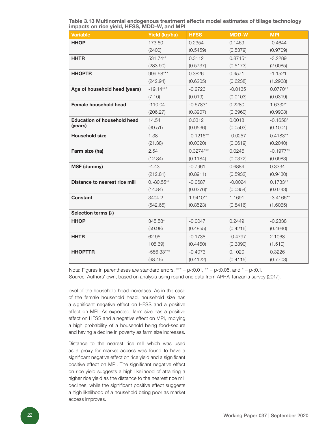Table 3.13 Multinomial endogenous treatment effects model estimates of tillage technology impacts on rice yield, HFSS, MDD-W, and MPI

| <b>Variable</b>                    | Yield (kg/ha) | <b>HFSS</b>  | <b>MDD-W</b> | <b>MPI</b>  |
|------------------------------------|---------------|--------------|--------------|-------------|
| <b>HHOP</b>                        | 173.60        | 0.2354       | 0.1469       | $-0.4644$   |
|                                    | (2400)        | (0.5459)     | (0.5379)     | (0.9709)    |
| <b>HHTR</b>                        | 531.74**      | 0.3112       | $0.8715*$    | $-3.2289$   |
|                                    | (283.90)      | (0.5737)     | (0.5173)     | (2.0085)    |
| <b>HHOPTR</b>                      | 999.68***     | 0.3826       | 0.4571       | $-1.1521$   |
|                                    | (242.94)      | (0.6205)     | (0.6238)     | (1.2968)    |
| Age of household head (years)      | $-19.14***$   | $-0.2723$    | $-0.0135$    | $0.0770**$  |
|                                    | (7.10)        | (0.019)      | (0.0103)     | (0.0319)    |
| <b>Female household head</b>       | $-110.04$     | $-0.6783*$   | 0.2280       | 1.6332*     |
|                                    | (206.27)      | (0.3907)     | (0.3960)     | (0.9903)    |
| <b>Education of household head</b> | 14.54         | 0.0312       | 0.0018       | $-0.1658*$  |
| (years)                            | (39.51)       | (0.0536)     | (0.0503)     | (0.1004)    |
| <b>Household size</b>              | 1.38          | $-0.1216**$  | $-0.0257$    | $0.4183**$  |
|                                    | (21.38)       | (0.0020)     | (0.0619)     | (0.2040)    |
| Farm size (ha)                     | 2.54          | $0.3274***$  | 0.0246       | $-0.1977**$ |
|                                    | (12.34)       | (0.1184)     | (0.0372)     | (0.0983)    |
| <b>MSF (dummy)</b>                 | $-4.43$       | $-0.7961$    | 0.6884       | 0.3334      |
|                                    | (212.81)      | (0.8911)     | (0.5932)     | (0.9430)    |
| Distance to nearest rice mill      | $0.-80.55**$  | $-0.0687$    | $-0.0024$    | $0.1733**$  |
|                                    | (14.84)       | $(0.0376)$ * | (0.0354)     | (0.0743)    |
| <b>Constant</b>                    | 3404.2        | $1.9410**$   | 1.1691       | $-3.4166**$ |
|                                    | (542.65)      | (0.8523)     | (0.8416)     | (1.6065)    |
| Selection terms $(\lambda)$        |               |              |              |             |
| <b>HHOP</b>                        | 345.58*       | $-0.0047$    | 0.2449       | $-0.2338$   |
|                                    | (59.98)       | (0.4855)     | (0.4216)     | (0.4940)    |
| <b>HHTR</b>                        | 62.95         | $-0.1738$    | $-0.4797$    | 2.1068      |
|                                    | 105.69)       | (0.4460)     | (0.3390)     | (1.510)     |
| <b>HHOPTTR</b>                     | $-556.33***$  | $-0.4073$    | 0.1020       | 0.3226      |
|                                    | (98.45)       | (0.4122)     | (0.4115)     | (0.7703)    |

Note: Figures in parentheses are standard errors. \*\*\* =  $p<0.01$ , \*\* =  $p<0.05$ , and \* =  $p<0.1$ . Source: Authors' own, based on analysis using round one data from APRA Tanzania survey (2017).

level of the household head increases. As in the case of the female household head, household size has a significant negative effect on HFSS and a positive effect on MPI. As expected, farm size has a positive effect on HFSS and a negative effect on MPI, implying a high probability of a household being food-secure and having a decline in poverty as farm size increases.

Distance to the nearest rice mill which was used as a proxy for market access was found to have a significant negative effect on rice yield and a significant positive effect on MPI. The significant negative effect on rice yield suggests a high likelihood of attaining a higher rice yield as the distance to the nearest rice mill declines, while the significant positive effect suggests a high likelihood of a household being poor as market access improves.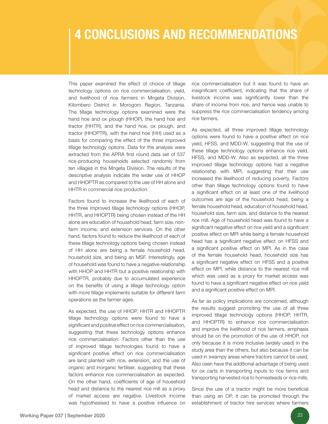# 4 CONCLUSIONS AND RECOMMENDATIONS

This paper examined the effect of choice of tillage technology options on rice commercialisation, yield, and livelihood of rice farmers in Mngeta Division, Kilombero District in Morogoro Region, Tanzania. The tillage technology options examined were the hand hoe and ox plough (HHOP), the hand hoe and tractor (HHTR), and the hand hoe, ox plough, and tractor (HHOPTR), with the hand hoe (HH) used as a basis for comparing the effect of the three improved tillage technology options. Data for the analysis were extracted from the APRA first round data set of 537 rice-producing households selected randomly from ten villages in the Mngeta Division. The results of the descriptive analysis indicate the wider use of HHOP and HHOPTR as compared to the use of HH alone and HHTR in commercial rice production.

Factors found to increase the likelihood of each of the three improved tillage technology options (HHOP, HHTR, and HHOPTR) being chosen instead of the HH alone are education of household head, farm size, nonfarm income, and extension services. On the other hand, factors found to reduce the likelihood of each of these tillage technology options being chosen instead of HH alone are being a female household head, household size, and being an MSF. Interestingly, age of household was found to have a negative relationship with HHOP and HHTR but a positive relationship with HHOPTR, probably due to accumulated experience on the benefits of using a tillage technology option with more tillage implements suitable for different farm operations as the farmer ages.

As expected, the use of HHOP, HHTR and HHOPTR tillage technology options were found to have a significant and positive effect on rice commercialisation, suggesting that these technology options enhance rice commercialisation. Factors other than the use of improved tillage technologies found to have a significant positive effect on rice commercialisation are land planted with rice, extension, and the use of organic and inorganic fertiliser, suggesting that these factors enhance rice commercialisation as expected. On the other hand, coefficients of age of household head and distance to the nearest rice mill as a proxy of market access are negative. Livestock income was hypothesised to have a positive influence on

rice commercialisation but it was found to have an insignificant coefficient, indicating that the share of livestock income was significantly lower than the share of income from rice, and hence was unable to suppress the rice commercialisation tendency among rice farmers.

As expected, all three improved tillage technology options were found to have a positive effect on rice yield, HFSS, and MDD-W, suggesting that the use of these tillage technology options enhance rice yield, HFSS, and MDD-W. Also as expected, all the three improved tillage technology options had a negative relationship with MPI, suggesting that their use increased the likelihood of reducing poverty. Factors other than tillage technology options found to have a significant effect on at least one of the livelihood outcomes are age of the household head, being a female household head, education of household head, household size, farm size, and distance to the nearest rice mill. Age of household head was found to have a significant negative effect on rice yield and a significant positive effect on MPI while being a female household head has a significant negative effect on HFSS and a significant positive effect on MPI. As in the case of the female household head, household size has a significant negative effect on HFSS and a positive effect on MPI, while distance to the nearest rice mill which was used as a proxy for market access was found to have a significant negative effect on rice yield and a significant positive effect on MPI.

As far as policy implications are concerned, although the results suggest promoting the use of all three improved tillage technology options (HHOP, HHTR, and HHOPTR) to enhance rice commercialisation and improve the livelihood of rice farmers, emphasis should be on the promotion of the use of HHOP, not only because it is more inclusive (widely used) in the study area than the others, but also because it can be used in swampy areas where tractors cannot be used. Also oxen have the additional advantage of being used for ox carts in transporting inputs to rice farms and transporting harvested rice to homesteads or rice mills.

Since the use of a tractor might be more beneficial than using an OP, it can be promoted through the establishment of tractor hire services where farmers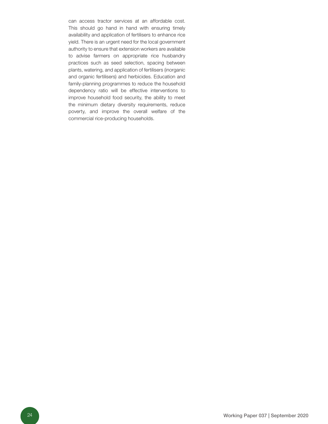can access tractor services at an affordable cost. This should go hand in hand with ensuring timely availability and application of fertilisers to enhance rice yield. There is an urgent need for the local government authority to ensure that extension workers are available to advise farmers on appropriate rice husbandry practices such as seed selection, spacing between plants, watering, and application of fertilisers (inorganic and organic fertilisers) and herbicides. Education and family-planning programmes to reduce the household dependency ratio will be effective interventions to improve household food security, the ability to meet the minimum dietary diversity requirements, reduce poverty, and improve the overall welfare of the commercial rice-producing households.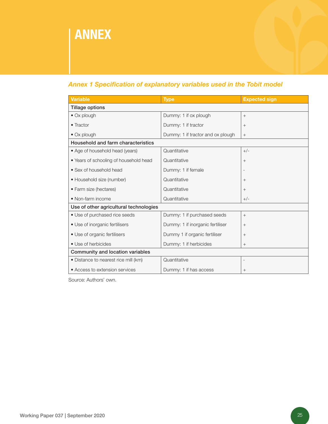# ANNEX

### *Annex 1 Specification of explanatory variables used in the Tobit model*

| <b>Variable</b>                        | <b>Type</b>                       | <b>Expected sign</b>     |
|----------------------------------------|-----------------------------------|--------------------------|
| <b>Tillage options</b>                 |                                   |                          |
| • Ox plough                            | Dummy: 1 if ox plough             | $^{+}$                   |
| • Tractor                              | Dummy: 1 if tractor               | $+$                      |
| • Ox plough                            | Dummy: 1 if tractor and ox plough | $+$                      |
| Household and farm characteristics     |                                   |                          |
| • Age of household head (years)        | Quantitative                      | $+/-$                    |
| • Years of schooling of household head | Quantitative                      | $+$                      |
| • Sex of household head                | Dummy: 1 if female                |                          |
| • Household size (number)              | Quantitative                      | $+$                      |
| • Farm size (hectares)                 | Quantitative                      | $+$                      |
| • Non-farm income                      | Quantitative                      | $+/-$                    |
| Use of other agricultural technologies |                                   |                          |
| • Use of purchased rice seeds          | Dummy: 1 if purchased seeds       | $+$                      |
| • Use of inorganic fertilisers         | Dummy: 1 if inorganic fertiliser  | $+$                      |
| • Use of organic fertilisers           | Dummy 1 if organic fertiliser     | $+$                      |
| • Use of herbicides                    | Dummy: 1 if herbicides            | $+$                      |
| Community and location variables       |                                   |                          |
| • Distance to nearest rice mill (km)   | Quantitative                      | $\overline{\phantom{a}}$ |
| • Access to extension services         | Dummy: 1 if has access            | $\qquad \qquad +$        |

Source: Authors' own.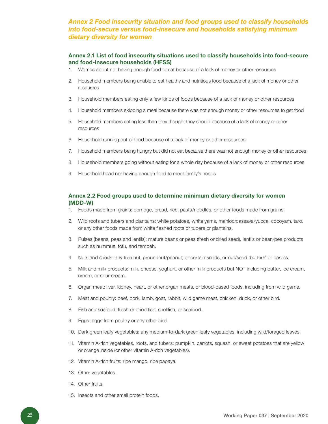### *Annex 2 Food insecurity situation and food groups used to classify households into food-secure versus food-insecure and households satisfying minimum dietary diversity for women*

#### Annex 2.1 List of food insecurity situations used to classify households into food-secure and food-insecure households (HFSS)

- 1. Worries about not having enough food to eat because of a lack of money or other resources
- 2. Household members being unable to eat healthy and nutritious food because of a lack of money or other resources
- 3. Household members eating only a few kinds of foods because of a lack of money or other resources
- 4. Household members skipping a meal because there was not enough money or other resources to get food
- 5. Household members eating less than they thought they should because of a lack of money or other resources
- 6. Household running out of food because of a lack of money or other resources
- 7. Household members being hungry but did not eat because there was not enough money or other resources
- 8. Household members going without eating for a whole day because of a lack of money or other resources
- 9. Household head not having enough food to meet family's needs

#### Annex 2.2 Food groups used to determine minimum dietary diversity for women (MDD-W)

- 1. Foods made from grains: porridge, bread, rice, pasta/noodles, or other foods made from grains.
- 2. Wild roots and tubers and plantains: white potatoes, white yams, manioc/cassava/yucca, cocoyam, taro, or any other foods made from white fleshed roots or tubers or plantains.
- 3. Pulses (beans, peas and lentils): mature beans or peas (fresh or dried seed), lentils or bean/pea products such as hummus, tofu, and tempeh.
- 4. Nuts and seeds: any tree nut, groundnut/peanut, or certain seeds, or nut/seed 'butters' or pastes.
- 5. Milk and milk products: milk, cheese, yoghurt, or other milk products but NOT including butter, ice cream, cream, or sour cream.
- 6. Organ meat: liver, kidney, heart, or other organ meats, or blood-based foods, including from wild game.
- 7. Meat and poultry: beef, pork, lamb, goat, rabbit, wild game meat, chicken, duck, or other bird.
- 8. Fish and seafood: fresh or dried fish, shellfish, or seafood.
- 9. Eggs: eggs from poultry or any other bird.
- 10. Dark green leafy vegetables: any medium-to-dark green leafy vegetables, including wild/foraged leaves.
- 11. Vitamin A-rich vegetables, roots, and tubers: pumpkin, carrots, squash, or sweet potatoes that are yellow or orange inside (or other vitamin A-rich vegetables).
- 12. Vitamin A-rich fruits: ripe mango, ripe papaya.
- 13. Other vegetables.
- 14. Other fruits.
- 15. Insects and other small protein foods.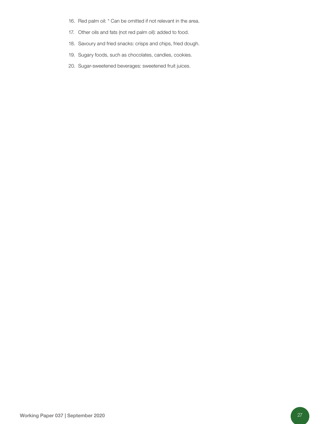- 16. Red palm oil: \* Can be omitted if not relevant in the area.
- 17. Other oils and fats (not red palm oil): added to food.
- 18. Savoury and fried snacks: crisps and chips, fried dough.
- 19. Sugary foods, such as chocolates, candies, cookies.
- 20. Sugar-sweetened beverages: sweetened fruit juices.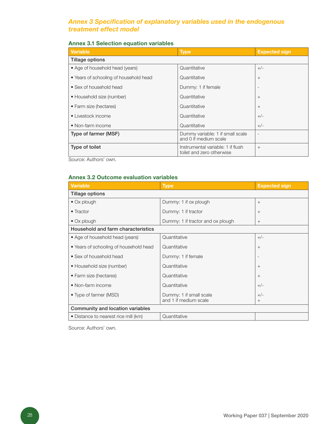### *Annex 3 Specification of explanatory variables used in the endogenous treatment effect model*

#### Annex 3.1 Selection equation variables

| Variable                               | <b>Type</b>                                                    | <b>Expected sign</b> |
|----------------------------------------|----------------------------------------------------------------|----------------------|
| Tillage options                        |                                                                |                      |
| • Age of household head (years)        | Quantitative                                                   | $+/-$                |
| • Years of schooling of household head | Quantitative                                                   | $^{+}$               |
| • Sex of household head                | Dummy: 1 if female                                             |                      |
| • Household size (number)              | Quantitative                                                   | $^{+}$               |
| • Farm size (hectares)                 | Quantitative                                                   | $^{+}$               |
| • Livestock income                     | Quantitative                                                   | $+/-$                |
| • Non-farm income                      | Quantitative                                                   | $+/-$                |
| Type of farmer (MSF)                   | Dummy variable: 1 if small scale<br>and 0 if medium scale      |                      |
| Type of toilet                         | Instrumental variable: 1 if flush<br>toilet and zero otherwise | $^{+}$               |

Source: Authors' own.

#### Annex 3.2 Outcome evaluation variables

| <b>Variable</b>                        | <b>Type</b>                                      | <b>Expected sign</b>     |  |
|----------------------------------------|--------------------------------------------------|--------------------------|--|
| <b>Tillage options</b>                 |                                                  |                          |  |
| $\bullet$ Ox plough                    | Dummy: 1 if ox plough                            | $+$                      |  |
| • Tractor                              | Dummy: 1 if tractor                              | $+$                      |  |
| $\bullet$ Ox plough                    | Dummy: 1 if tractor and ox plough                | $+$                      |  |
| Household and farm characteristics     |                                                  |                          |  |
| • Age of household head (years)        | Quantitative                                     | $+/-$                    |  |
| • Years of schooling of household head | Quantitative                                     | $+$                      |  |
| • Sex of household head                | Dummy: 1 if female                               | $\overline{\phantom{a}}$ |  |
| • Household size (number)              | Quantitative                                     | $+$                      |  |
| • Farm size (hectares)                 | Quantitative                                     | $+$                      |  |
| • Non-farm income                      | Quantitative                                     | $+/-$                    |  |
| • Type of farmer (MSD)                 | Dummy: 1 if small scale<br>and 1 if medium scale | $+/-$<br>$^{+}$          |  |
| Community and location variables       |                                                  |                          |  |
| • Distance to nearest rice mill (km)   | Quantitative                                     |                          |  |

Source: Authors' own.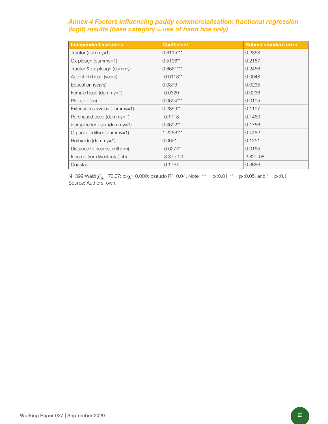### *Annex 4 Factors influencing paddy commercialisation: fractional regression (logit) results (base category = use of hand hoe only)*

| <b>Independent variables</b>   | <b>Coefficient</b> | <b>Robust standard error</b> |
|--------------------------------|--------------------|------------------------------|
| Tractor (dummy=1)              | $0.6115***$        | 0.2368                       |
| $Ox$ plough (dummy=1)          | $0.5196**$         | 0.2187                       |
| Tractor & ox plough (dummy)    | $0.6661***$        | 0.2456                       |
| Age of hh head (years)         | $-0.0113**$        | 0.0048                       |
| Education (years)              | 0.0379             | 0.0235                       |
| Female head (dummy=1)          | $-0.0329$          | 0.0236                       |
| Plot size (ha)                 | $0.0694***$        | 0.0195                       |
| Extension services (dummy=1)   | $0.2859**$         | 0.1197                       |
| Purchased seed (dummy=1)       | $-0.1718$          | 0.1460                       |
| inorganic fertiliser (dummy=1) | $0.3692**$         | 0.1756                       |
| Organic fertiliser (dummy=1)   | 1.2266***          | 0.4482                       |
| Herbicide (dummy=1)            | 0.0691             | 0.1251                       |
| Distance to nearest mill (km)  | $-0.0277*$         | 0.0165                       |
| Income from livestock (Tsh)    | $-3.37e-09$        | 2.82e-08                     |
| Constant                       | $-0.1767$          | 0.3686                       |

N=399 Wald  $\chi^2_{(14)}$ =70.07; p> $\chi^2$ =0.000; pseudo R<sup>2</sup>=0.04. Note: \*\*\* = p<0.01, \*\* = p<0.05, and \* = p<0.1. Source: Authors' own.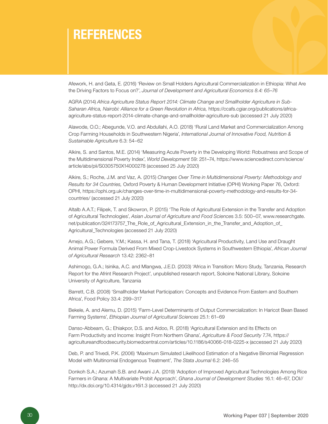## **REFERENCES**

Afework, H. and Geta, E. (2016) 'Review on Small Holders Agricultural Commercialization in Ethiopia: What Are the Driving Factors to Focus on?', *Journal of Development and Agricultural Economics 8.4: 65–76*

AGRA (2014) *Africa Agriculture Status Report 2014: Climate Change and Smallholder Agriculture in Sub-Saharan Africa, Nairobi: Alliance for a Green Revolution in Africa,* https://ccafs.cgiar.org/publications/africaagriculture-status-report-2014-climate-change-and-smallholder-agriculture-sub (accessed 21 July 2020)

Alawode, O.O.; Abegunde, V.O. and Abdullahi, A.O. (2018) 'Rural Land Market and Commercialization Among Crop Farming Households in Southwestern Nigeria', *International Journal of Innovative Food, Nutrition & Sustainable Agriculture* 6.3: 54–62

Alkire, S. and Santos, M.E. (2014) 'Measuring Acute Poverty in the Developing World: Robustness and Scope of the Multidimensional Poverty Index', *World Development* 59: 251–74, https://www.sciencedirect.com/science/ article/abs/pii/S0305750X14000278 (accessed 25 July 2020)

Alkire, S.; Roche, J.M. and Vaz, A. (2015) *Changes Over Time in Multidimensional Poverty: Methodology and Results for 34 Countries,* Oxford Poverty & Human Development Initiative (OPHI) Working Paper 76, Oxford: OPHI, https://ophi.org.uk/changes-over-time-in-multidimensional-poverty-methodology-and-results-for-34 countries/ (accessed 21 July 2020)

Altalb A.A.T.; Filipek, T. and Skowron, P. (2015) 'The Role of Agricultural Extension in the Transfer and Adoption of Agricultural Technologies', *Asian Journal of Agriculture and Food Science*s 3.5: 500–07, www.researchgate. net/publication/324173757\_The\_Role\_of\_Agricultural\_Extension\_in\_the\_Transfer\_and\_Adoption\_of\_ Agricultural\_Technologies (accessed 21 July 2020)

Amejo, A.G.; Gebere, Y.M.; Kassa, H. and Tana, T. (2018) 'Agricultural Productivity, Land Use and Draught Animal Power Formula Derived From Mixed Crop-Livestock Systems in Southwestern Ethiopia', *African Journal of Agricultural Research* 13.42: 2362–81

Ashimogo, G.A.; Isinika, A.C. and Mlangwa, J.E.D. (2003) 'Africa in Transition: Micro Study, Tanzania, Research Report for the Afrint Research Project', unpublished research report, Sokoine National Library, Sokoine University of Agriculture, Tanzania

Barrett, C.B. (2008) 'Smallholder Market Participation: Concepts and Evidence From Eastern and Southern Africa', Food Policy 33.4: 299–317

Bekele, A. and Alemu, D. (2015) 'Farm-Level Determinants of Output Commercialization: In Haricot Bean Based Farming Systems', *Ethiopian Journal of Agricultural Sciences* 25.1: 61–69

Danso-Abbeam, G.; Ehiakpor, D.S. and Aidoo, R. (2018) 'Agricultural Extension and its Effects on Farm Productivity and Income: Insight From Northern Ghana', *Agriculture & Food Security* 7.74, https:// agricultureandfoodsecurity.biomedcentral.com/articles/10.1186/s40066-018-0225-x (accessed 21 July 2020)

Deb, P. and Trivedi, P.K. (2006) 'Maximum Simulated Likelihood Estimation of a Negative Binomial Regression Model with Multinomial Endogenous Treatment', *The Stata Journal* 6.2: 246–55

Donkoh S.A.; Azumah S.B. and Awani J.A. (2019) 'Adoption of Improved Agricultural Technologies Among Rice Farmers in Ghana: A Multivariate Probit Approach', *Ghana Journal of Development Studies* 16.1: 46–67, DOI// http://dx.doi.org/10.4314/gjds.v16i1.3 (accessed 21 July 2020)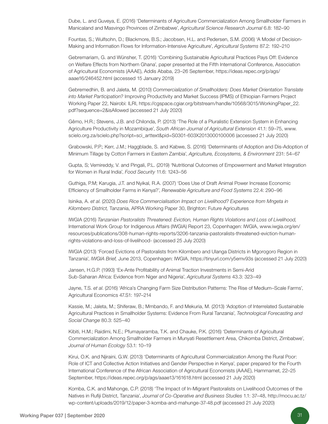Dube, L. and Guveya, E. (2016) 'Determinants of Agriculture Commercialization Among Smallholder Farmers in Manicaland and Masvingo Provinces of Zimbabwe', *Agricultural Science Research Journal* 6.8: 182–90

Fountas, S.; Wulfsohn, D.; Blackmore, B.S.; Jacobsen, H.L. and Pedersen, S.M. (2006) 'A Model of Decision-Making and Information Flows for Information-Intensive Agriculture', *Agricultural Systems* 87.2: 192–210

Gebremariam, G. and Wünsher, T. (2016) 'Combining Sustainable Agricultural Practices Pays Off: Evidence on Welfare Effects from Northern Ghana', paper presented at the Fifth International Conference, Association of Agricultural Economists (AAAE), Addis Ababa, 23–26 September, https://ideas.repec.org/p/ags/ aaae16/246452.html (accessed 15 January 2019)

Gebremedhin, B. and Jaleta, M. (2010) *Commercialization of Smallholders: Does Market Orientation Translate into Market Participation?* Improving Productivity and Market Success (IPMS) of Ethiopian Farmers Project Working Paper 22, Nairobi: ILRI, https://cgspace.cgiar.org/bitstream/handle/10568/3015/WorkingPaper\_22. pdf?sequence=2&isAllowed (accessed 21 July 2020)

Gêmo, H.R.; Stevens, J.B. and Chilonda, P. (2013) 'The Role of a Pluralistic Extension System in Enhancing Agriculture Productivity in Mozambique', *South African Journal of Agricultural Extension* 41.1: 59–75, www. scielo.org.za/scielo.php?script=sci\_arttext&pid=S0301-603X2013000100006 (accessed 21 July 2020)

Grabowski, P.P.; Kerr, J.M.; Haggblade, S. and Kabwe, S. (2016) 'Determinants of Adoption and Dis-Adoption of Minimum Tillage by Cotton Farmers in Eastern Zambia', *Agriculture, Ecosystems, & Environment* 231: 54–67

Gupta, S; Vemireddy, V. and Pingali, P.L. (2019) 'Nutritional Outcomes of Empowerment and Market Integration for Women in Rural India', *Food Security* 11.6: 1243–56

Guthiga, P.M; Karugia, J.T. and Nyikal, R.A. (2007) 'Does Use of Draft Animal Power Increase Economic Efficiency of Smallholder Farms in Kenya?', *Renewable Agriculture and Food Systems* 22.4: 290–96

Isinika, A. *et al*. (2020) *Does Rice Commercialisation Impact on Livelihood? Experience from Mngeta in Kilombero District,* Tanzania, APRA Working Paper 30, Brighton: Future Agricultures

IWGIA (2016) *Tanzanian Pastoralists Threatened: Eviction, Human Rights Violations and Loss of Livelihood,*  International Work Group for Indigenous Affairs (IWGIA) Report 23, Copenhagen: IWGIA, www.iwgia.org/en/ resources/publications/308-human-rights-reports/3206-tanzania-pastoralists-threatened-eviction-humanrights-violations-and-loss-of-livelihood- (accessed 25 July 2020)

IWGIA (2013) 'Forced Evictions of Pastoralists from Kilombero and Ulanga Districts in Mgorogoro Region in Tanzania', *IWGIA Brief,* June 2013, Copenhagen: IWGIA, https://tinyurl.com/y5emv93s (accessed 21 July 2020)

Jansen, H.G.P. (1993) 'Ex-Ante Profitability of Animal Traction Investments in Semi-Arid Sub-Saharan Africa: Evidence from Niger and Nigeria', *Agricultural Systems* 43.3: 323–49

Jayne, T.S. *et al*. (2016) 'Africa's Changing Farm Size Distribution Patterns: The Rise of Medium–Scale Farms', Agricultural Economics 47.S1: 197–214

Kassie, M.; Jaleta, M.; Shiferaw, B.; Mmbando, F. and Mekuria, M. (2013) 'Adoption of Interrelated Sustainable Agricultural Practices in Smallholder Systems: Evidence From Rural Tanzania', *Technological Forecasting and Social Change* 80.3: 525–40

Kibiti, H.M.; Raidimi, N.E.; Pfumayaramba, T.K. and Chauke, P.K. (2016) 'Determinants of Agricultural Commercialization Among Smallholder Farmers in Munyati Resettlement Area, Chikomba District, Zimbabwe', *Journal of Human Ecology* 53.1: 10–19

Kirui, O.K. and Njiraini, G.W. (2013) 'Determinants of Agricultural Commercialization Among the Rural Poor: Role of ICT and Collective Action Initiatives and Gender Perspective in Kenya', paper prepared for the Fourth International Conference of the African Association of Agricultural Economists (AAAE), Hammamet, 22–25 September, https://ideas.repec.org/p/ags/aaae13/161618.html (accessed 21 July 2020)

Komba, C.K. and Mahonge, C.P. (2018) 'The Impact of In-Migrant Pastoralists on Livelihood Outcomes of the Natives in Rufiji District, Tanzania', *Journal of Co-Operative and Business Studies* 1.1: 37–48, http://mocu.ac.tz/ wp-content/uploads/2019/12/paper-3-komba-and-mahunge-37-48.pdf (accessed 21 July 2020)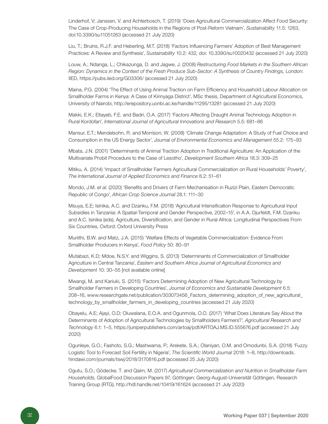Linderhof, V; Janssen, V. and Achterbosch, T. (2019) 'Does Agricultural Commercialization Affect Food Security: The Case of Crop-Producing Households in the Regions of Post-Reform Vietnam', *Sustainability* 11.5: 1263, doi:10.3390/su11051263 (accessed 21 July 2020)

Liu, T.; Bruins, R.J.F. and Heberling, M.T. (2018) 'Factors Influencing Farmers' Adoption of Best Management Practices: A Review and Synthesis', *Sustainability* 10.2: 432, doi: 10.3390/su10020432 (accessed 21 July 2020)

Louw, A.; Ndanga, L.; Chikazunga, D. and Jagwe, J. (2008) *Restructuring Food Markets in the Southern African Region: Dynamics in the Context of the Fresh Produce Sub-Sector: A Synthesis of Country Findings,* London: IIED, https://pubs.iied.org/G03306/ (accessed 21 July 2020)

Maina, P.G. (2004) 'The Effect of Using Animal Traction on Farm Efficiency and Household Labour Allocation on Smallholder Farms in Kenya: A Case of Kirinyaga District', MSc thesis, Department of Agricultural Economics, University of Nairobi, http://erepository.uonbi.ac.ke/handle/11295/13281 (accessed 21 July 2020)

Makki, E.K.; Eltayeb, F.E. and Badri, O.A. (2017) 'Factors Affecting Draught Animal Technology Adoption in Rural Kordofan', *International Journal of Agricultural Innovations and Research* 5.5: 681–86

Mansur, E.T.; Mendelsohn, R. and Morrison, W. (2008) 'Climate Change Adaptation: A Study of Fuel Choice and Consumption in the US Energy Sector', *Journal of Environmental Economics and Management* 55.2: 175–93

Mbata, J.N. (2001) 'Determinants of Animal Traction Adoption in Traditional Agriculture: An Application of the Multivariate Probit Procedure to the Case of Lesotho', *Development Southern Africa* 18.3: 309–25

Mitiku, A. (2014) 'Impact of Smallholder Farmers Agricultural Commercialization on Rural Households' Poverty', *The International Journal of Applied Economics and Finance* 8.2: 51–61

Mondo, J.M. *et al*. (2020) 'Benefits and Drivers of Farm Mechanisation in Ruzizi Plain, Eastern Democratic Republic of Congo', *African Crop Science Journal* 28.1: 111–30

Msuya, E.E; Isinika, A.C. and Dzanku, F.M. (2018) 'Agricultural Intensification Response to Agricultural Input Subsidies in Tanzania: A Spatial-Temporal and Gender Perspective, 2002–15', in A.A. Djurfeldt, F.M. Dzanku and A.C. Isinika (eds), Agriculture, Diversification, and Gender in Rural Africa: Longitudinal Perspectives From Six Countries, Oxford: Oxford University Press

Muriithi, B.W. and Matz, J.A. (2015) 'Welfare Effects of Vegetable Commercialization: Evidence From Smallholder Producers in Kenya', *Food Policy* 50: 80–91

Mutabazi, K.D; Mdoe, N.S.Y. and Wiggins, S. (2013) 'Determinants of Commercialization of Smallholder Agriculture in Central Tanzania', *Eastern and Southern Africa Journal of Agricultural Economics and Development* 10: 30–55 [not available online]

Mwangi, M. and Kariuki, S. (2015) 'Factors Determining Adoption of New Agricultural Technology by Smallholder Farmers in Developing Countries', *Journal of Economics and Sustainable Development* 6.5: 208–16, www.researchgate.net/publication/303073456\_Factors\_determining\_adoption\_of\_new\_agricultural\_ technology\_by\_smallholder\_farmers\_in\_developing\_countries (accessed 21 July 2020)

Obayelu, A.E; Ajayi, O.D; Oluwalana, E.O.A. and Ogunmola, O.O. (2017) 'What Does Literature Say About the Determinants of Adoption of Agricultural Technologies by Smallholders Farmers?', *Agricultural Research and Technology* 6.1: 1–5, https://juniperpublishers.com/artoaj/pdf/ARTOAJ.MS.ID.555676.pdf (accessed 21 July 2020)

Ogunleye, G.O.; Fashoto, S.G.; Mashwama, P.; Arekete, S.A.; Olaniyan, O.M. and Omodunbi, S.A. (2018) 'Fuzzy Logistic Tool to Forecast Soil Fertility in Nigeria', *The Scientific World Journal* 2018: 1–8, http://downloads. hindawi.com/journals/tswj/2018/3170816.pdf (accessed 25 July 2020)

Ogutu, S.O.; Gödecke, T. and Qaim, M. (2017) *Agricultural Commercialization and Nutrition in Smallholder Farm Households,* GlobalFood Discussion Papers 97, Göttingen: Georg-August-Universität Göttingen, Research Training Group (RTG), http://hdl.handle.net/10419/161624 (accessed 21 July 2020)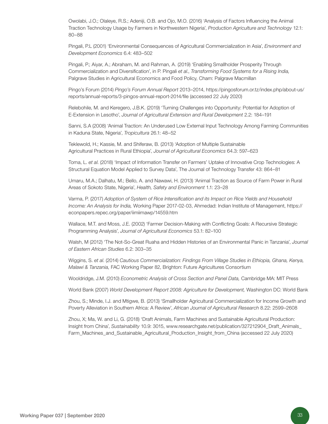Owolabi, J.O.; Olaleye, R.S.; Adeniji, O.B. and Ojo, M.O. (2016) 'Analysis of Factors Influencing the Animal Traction Technology Usage by Farmers in Northwestern Nigeria', *Production Agriculture and Technology* 12.1: 80–88

Pingali, P.L (2001) 'Environmental Consequences of Agricultural Commercialization in Asia', *Environment and Development Economics* 6.4: 483–502

Pingali, P.; Aiyar, A.; Abraham, M. and Rahman, A. (2019) 'Enabling Smallholder Prosperity Through Commercialization and Diversification', in P. Pingali *et al*., *Transforming Food Systems for a Rising India,*  Palgrave Studies in Agricultural Economics and Food Policy, Cham: Palgrave Macmillan

Pingo's Forum (2014) *Pingo's Forum Annual Report* 2013–2014, https://pingosforum.or.tz/index.php/about-us/ reports/annual-reports/3-pingos-annual-report-2014/file (accessed 22 July 2020)

Relebohile, M. and Keregero, J.B.K. (2019) 'Turning Challenges into Opportunity: Potential for Adoption of E-Extension in Lesotho', *Journal of Agricultural Extension and Rural Development* 2.2: 184–191

Sanni, S.A (2008) 'Animal Traction: An Underused Low External Input Technology Among Farming Communities in Kaduna State, Nigeria', *Tropicultura* 26.1: 48–52

Teklewold, H.; Kassie, M. and Shiferaw, B. (2013) 'Adoption of Multiple Sustainable Agricultural Practices in Rural Ethiopia', *Journal of Agricultural Economics* 64.3: 597–623

Toma, L. *et al*. (2018) 'Impact of Information Transfer on Farmers' Uptake of Innovative Crop Technologies: A Structural Equation Model Applied to Survey Data', The Journal of Technology Transfer 43: 864–81

Umaru, M.A.; Dalhatu, M.; Bello, A. and Nawawi, H. (2013) 'Animal Traction as Source of Farm Power in Rural Areas of Sokoto State, Nigeria', *Health, Safety and Environment* 1.1: 23–28

Varma, P. (2017) *Adoption of System of Rice Intensification and its Impact on Rice Yields and Household Income: An Analysis for India,* Working Paper 2017-02-03, Ahmedad: Indian Institute of Management, https:// econpapers.repec.org/paper/iimiimawp/14559.htm

Wallace, M.T. and Moss, J.E. (2002) 'Farmer Decision-Making with Conflicting Goals: A Recursive Strategic Programming Analysis', *Journal of Agricultural Economics* 53.1: 82–100

Walsh, M (2012) 'The Not-So-Great Ruaha and Hidden Histories of an Environmental Panic in Tanzania', *Journal of Eastern African Studies* 6.2: 303–35

Wiggins, S. *et al*. (2014) *Cautious Commercialization: Findings From Village Studies in Ethiopia, Ghana, Kenya, Malawi & Tanzania,* FAC Working Paper 82, Brighton: Future Agricultures Consortium

Wooldridge, J.M. (2010) *Econometric Analysis of Cross Section and Panel Data,* Cambridge MA: MIT Press

World Bank (2007) *World Development Report 2008: Agriculture for Development,* Washington DC: World Bank

Zhou, S.; Minde, I.J. and Mtigwe, B. (2013) 'Smallholder Agricultural Commercialization for Income Growth and Poverty Alleviation in Southern Africa: A Review', *African Journal of Agricultural Research* 8.22: 2599–2608

Zhou, X; Ma, W. and Li, G. (2018) 'Draft Animals, Farm Machines and Sustainable Agricultural Production: Insight from China', *Sustainability* 10.9: 3015, www.researchgate.net/publication/327212904\_Draft\_Animals\_ Farm\_Machines\_and\_Sustainable\_Agricultural\_Production\_Insight\_from\_China (accessed 22 July 2020)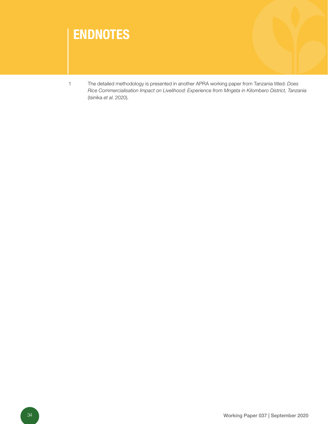

1 The detailed methodology is presented in another APRA working paper from Tanzania titled: *Does Rice Commercialisation Impact on Livelihood: Experience from Mngeta in Kilombero District, Tanzania* (Isinika *et al*. 2020).